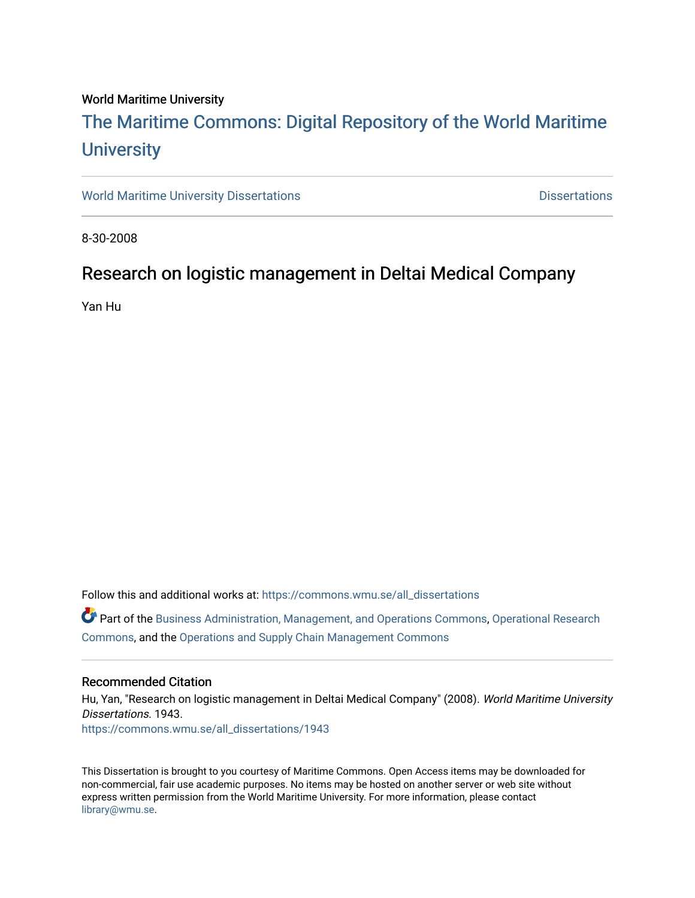#### World Maritime University

# [The Maritime Commons: Digital Repository of the World Maritime](https://commons.wmu.se/)  **University**

[World Maritime University Dissertations](https://commons.wmu.se/all_dissertations) **Distributions** [Dissertations](https://commons.wmu.se/dissertations) Dissertations

8-30-2008

## Research on logistic management in Deltai Medical Company

Yan Hu

Follow this and additional works at: [https://commons.wmu.se/all\\_dissertations](https://commons.wmu.se/all_dissertations?utm_source=commons.wmu.se%2Fall_dissertations%2F1943&utm_medium=PDF&utm_campaign=PDFCoverPages) 

Part of the [Business Administration, Management, and Operations Commons](http://network.bepress.com/hgg/discipline/623?utm_source=commons.wmu.se%2Fall_dissertations%2F1943&utm_medium=PDF&utm_campaign=PDFCoverPages), [Operational Research](http://network.bepress.com/hgg/discipline/308?utm_source=commons.wmu.se%2Fall_dissertations%2F1943&utm_medium=PDF&utm_campaign=PDFCoverPages)  [Commons](http://network.bepress.com/hgg/discipline/308?utm_source=commons.wmu.se%2Fall_dissertations%2F1943&utm_medium=PDF&utm_campaign=PDFCoverPages), and the [Operations and Supply Chain Management Commons](http://network.bepress.com/hgg/discipline/1229?utm_source=commons.wmu.se%2Fall_dissertations%2F1943&utm_medium=PDF&utm_campaign=PDFCoverPages) 

#### Recommended Citation

Hu, Yan, "Research on logistic management in Deltai Medical Company" (2008). World Maritime University Dissertations. 1943. [https://commons.wmu.se/all\\_dissertations/1943](https://commons.wmu.se/all_dissertations/1943?utm_source=commons.wmu.se%2Fall_dissertations%2F1943&utm_medium=PDF&utm_campaign=PDFCoverPages)

This Dissertation is brought to you courtesy of Maritime Commons. Open Access items may be downloaded for non-commercial, fair use academic purposes. No items may be hosted on another server or web site without express written permission from the World Maritime University. For more information, please contact [library@wmu.se](mailto:library@wmu.edu).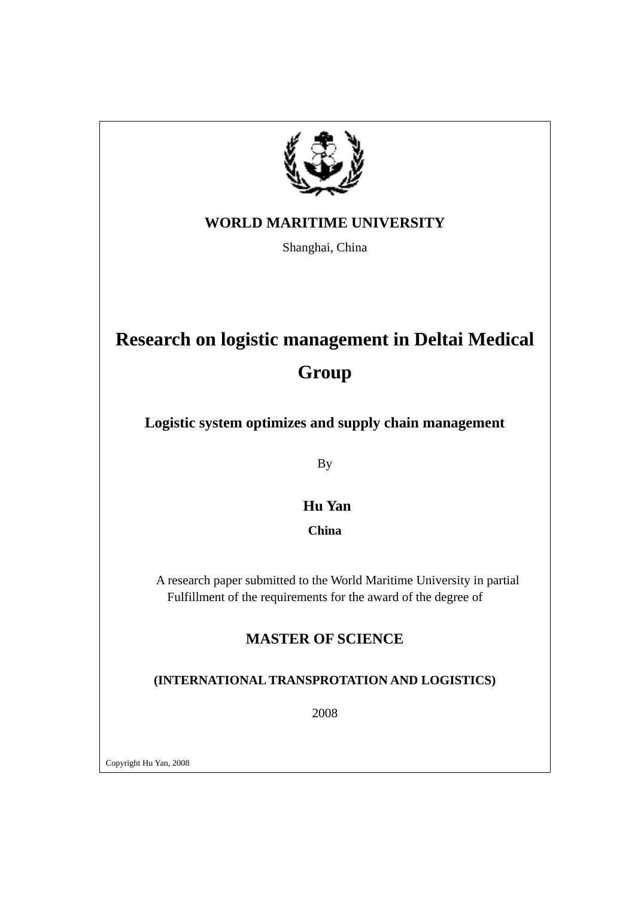

### **WORLD MARITIME UNIVERSITY**

Shanghai, China

# **Research on logistic management in Deltai Medical**

# **Group**

**Logistic system optimizes and supply chain management** 

By

## **Hu Yan**

**China** 

 A research paper submitted to the World Maritime University in partial Fulfillment of the requirements for the award of the degree of

## **MASTER OF SCIENCE**

### **(INTERNATIONAL TRANSPROTATION AND LOGISTICS)**

2008

Copyright Hu Yan, 2008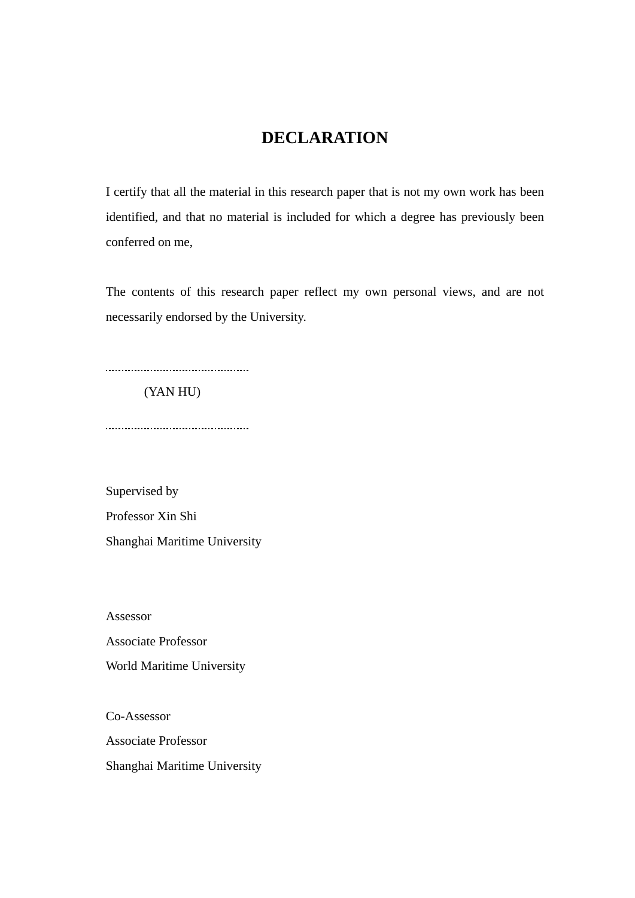## **DECLARATION**

I certify that all the material in this research paper that is not my own work has been identified, and that no material is included for which a degree has previously been conferred on me,

The contents of this research paper reflect my own personal views, and are not necessarily endorsed by the University.

(YAN HU)

Supervised by Professor Xin Shi Shanghai Maritime University

Assessor Associate Professor World Maritime University

Co-Assessor Associate Professor Shanghai Maritime University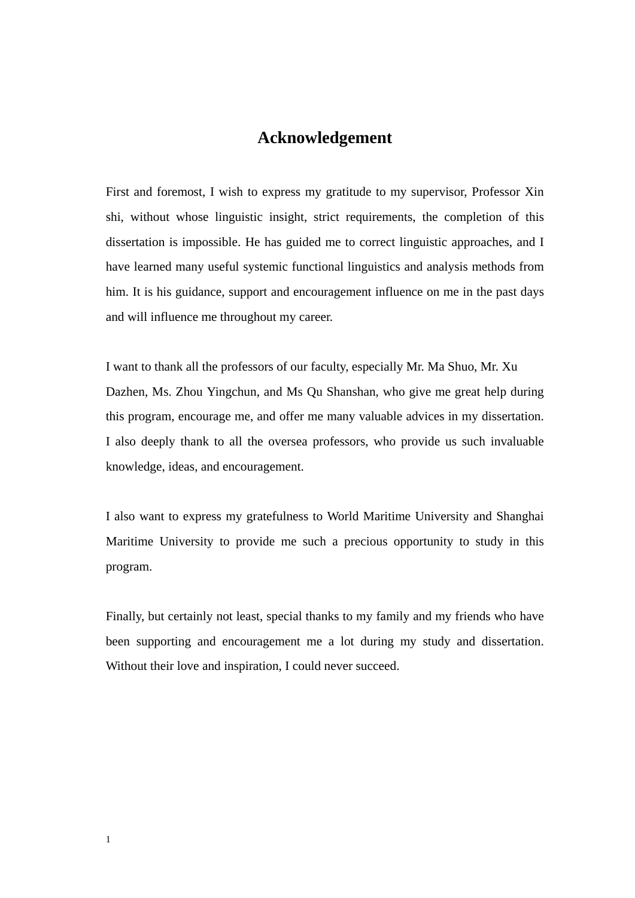### **Acknowledgement**

First and foremost, I wish to express my gratitude to my supervisor, Professor Xin shi, without whose linguistic insight, strict requirements, the completion of this dissertation is impossible. He has guided me to correct linguistic approaches, and I have learned many useful systemic functional linguistics and analysis methods from him. It is his guidance, support and encouragement influence on me in the past days and will influence me throughout my career.

I want to thank all the professors of our faculty, especially Mr. Ma Shuo, Mr. Xu Dazhen, Ms. Zhou Yingchun, and Ms Qu Shanshan, who give me great help during this program, encourage me, and offer me many valuable advices in my dissertation. I also deeply thank to all the oversea professors, who provide us such invaluable knowledge, ideas, and encouragement.

I also want to express my gratefulness to World Maritime University and Shanghai Maritime University to provide me such a precious opportunity to study in this program.

Finally, but certainly not least, special thanks to my family and my friends who have been supporting and encouragement me a lot during my study and dissertation. Without their love and inspiration, I could never succeed.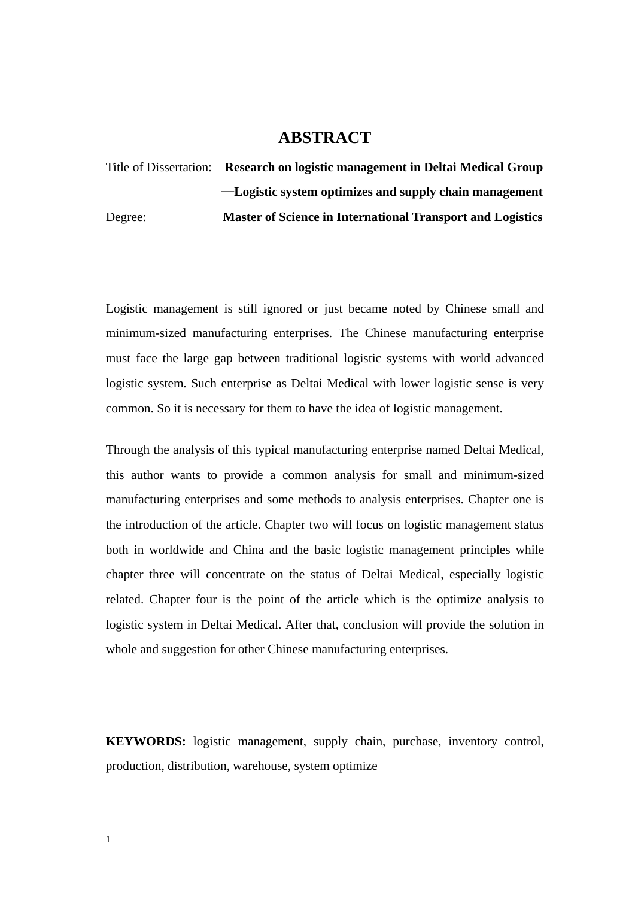### **ABSTRACT**

Title of Dissertation: **Research on logistic management in Deltai Medical Group** —**Logistic system optimizes and supply chain management**  Degree: **Master of Science in International Transport and Logistics** 

Logistic management is still ignored or just became noted by Chinese small and minimum-sized manufacturing enterprises. The Chinese manufacturing enterprise must face the large gap between traditional logistic systems with world advanced logistic system. Such enterprise as Deltai Medical with lower logistic sense is very common. So it is necessary for them to have the idea of logistic management.

Through the analysis of this typical manufacturing enterprise named Deltai Medical, this author wants to provide a common analysis for small and minimum-sized manufacturing enterprises and some methods to analysis enterprises. Chapter one is the introduction of the article. Chapter two will focus on logistic management status both in worldwide and China and the basic logistic management principles while chapter three will concentrate on the status of Deltai Medical, especially logistic related. Chapter four is the point of the article which is the optimize analysis to logistic system in Deltai Medical. After that, conclusion will provide the solution in whole and suggestion for other Chinese manufacturing enterprises.

**KEYWORDS:** logistic management, supply chain, purchase, inventory control, production, distribution, warehouse, system optimize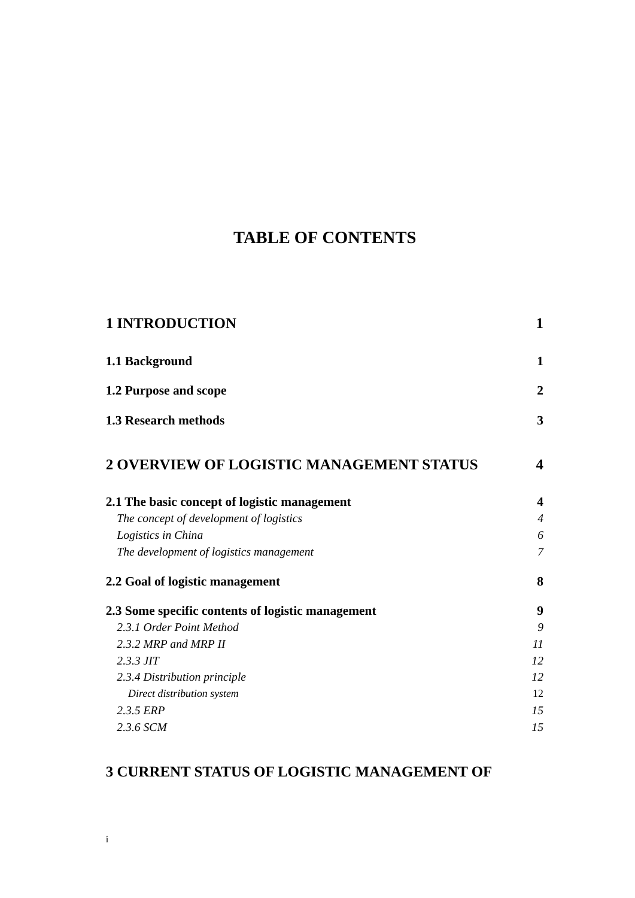# **TABLE OF CONTENTS**

| <b>1 INTRODUCTION</b>                             | $\mathbf 1$              |
|---------------------------------------------------|--------------------------|
| 1.1 Background                                    | $\mathbf{1}$             |
| 1.2 Purpose and scope                             | $\overline{2}$           |
| <b>1.3 Research methods</b>                       | 3                        |
| 2 OVERVIEW OF LOGISTIC MANAGEMENT STATUS          | $\overline{\mathbf{4}}$  |
| 2.1 The basic concept of logistic management      | $\overline{\mathbf{4}}$  |
| The concept of development of logistics           | $\overline{\mathcal{A}}$ |
| Logistics in China                                | 6                        |
| The development of logistics management           | $\overline{7}$           |
| 2.2 Goal of logistic management                   | 8                        |
| 2.3 Some specific contents of logistic management | 9                        |
| 2.3.1 Order Point Method                          | 9                        |
| 2.3.2 MRP and MRP II                              | 11                       |
| $2.3.3$ JIT                                       | 12                       |
| 2.3.4 Distribution principle                      | 12                       |
| Direct distribution system                        | 12                       |
| 2.3.5 ERP                                         | 15                       |
| 2.3.6 SCM                                         | 15                       |

## **[3 CURRENT STATUS OF LOGISTIC MANAGEMENT OF](#page-29-0)**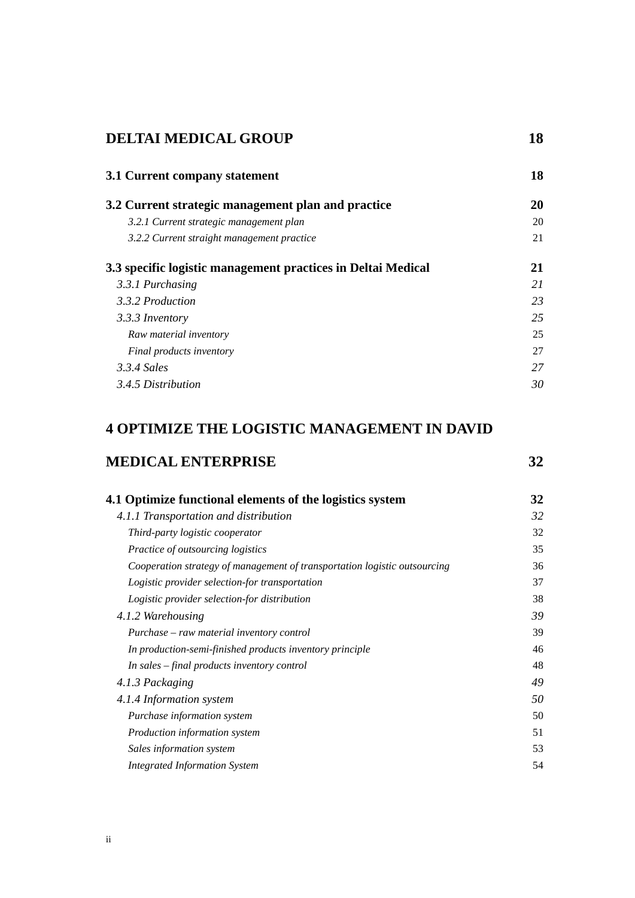### **DELTAI MEDICAL GROUP** 18

| 3.1 Current company statement                                | 18 |
|--------------------------------------------------------------|----|
| 3.2 Current strategic management plan and practice           | 20 |
| 3.2.1 Current strategic management plan                      | 20 |
| 3.2.2 Current straight management practice                   | 21 |
| 3.3 specific logistic management practices in Deltai Medical | 21 |
| 3.3.1 Purchasing                                             | 21 |
| 3.3.2 Production                                             | 23 |
| 3.3.3 Inventory                                              | 25 |
| Raw material inventory                                       | 25 |
| Final products inventory                                     | 27 |
| 3.3.4 Sales                                                  | 27 |
| 3.4.5 Distribution                                           | 30 |
|                                                              |    |

### **[4 OPTIMIZE THE LOGISTIC MANAGEMENT IN DAVID](#page-43-0)**

### **[MEDICAL ENTERPRISE 32](#page-43-0)**

| 4.1 Optimize functional elements of the logistics system                  | 32 |
|---------------------------------------------------------------------------|----|
| 4.1.1 Transportation and distribution                                     | 32 |
| Third-party logistic cooperator                                           | 32 |
| Practice of outsourcing logistics                                         | 35 |
| Cooperation strategy of management of transportation logistic outsourcing | 36 |
| Logistic provider selection-for transportation                            | 37 |
| Logistic provider selection-for distribution                              | 38 |
| 4.1.2 Warehousing                                                         | 39 |
| Purchase – raw material inventory control                                 | 39 |
| In production-semi-finished products inventory principle                  | 46 |
| In sales – final products inventory control                               | 48 |
| 4.1.3 Packaging                                                           | 49 |
| 4.1.4 Information system                                                  | 50 |
| <i>Purchase information system</i>                                        | 50 |
| Production information system                                             | 51 |
| Sales information system                                                  | 53 |
| <b>Integrated Information System</b>                                      | 54 |
|                                                                           |    |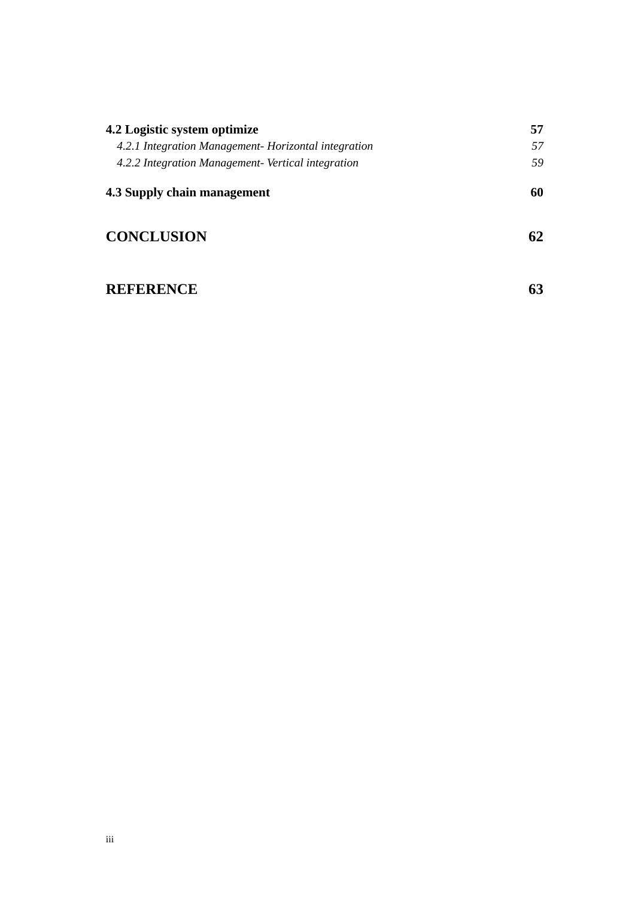| 4.2 Logistic system optimize                         | 57 |
|------------------------------------------------------|----|
| 4.2.1 Integration Management- Horizontal integration | 57 |
| 4.2.2 Integration Management- Vertical integration   | 59 |
| 4.3 Supply chain management                          | 60 |
| <b>CONCLUSION</b>                                    | 62 |

## [REFERENCE 63](#page-74-0)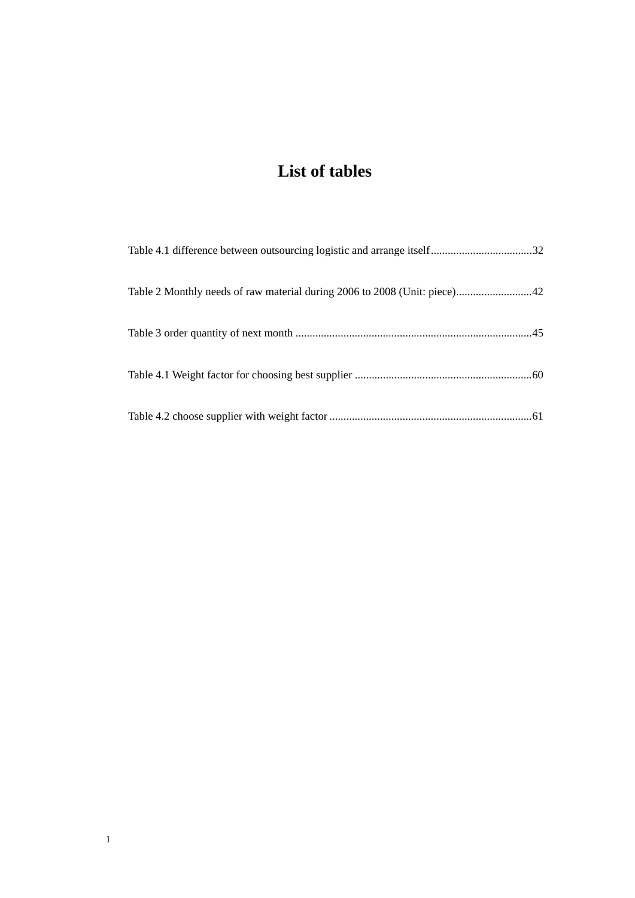# **List of tables**

| Table 2 Monthly needs of raw material during 2006 to 2008 (Unit: piece)42 |  |
|---------------------------------------------------------------------------|--|
|                                                                           |  |
|                                                                           |  |
|                                                                           |  |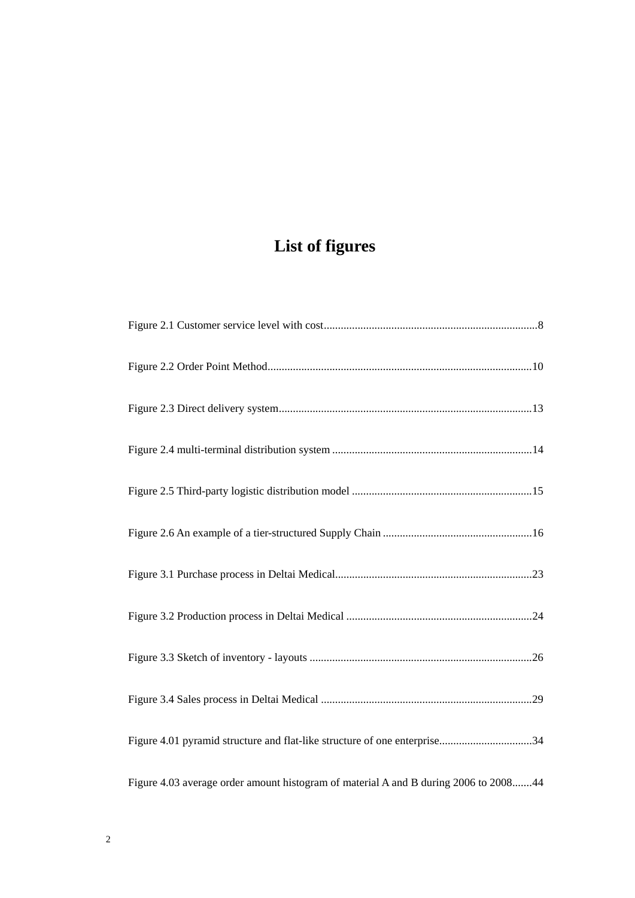# **List of figures**

| Figure 4.01 pyramid structure and flat-like structure of one enterprise34            |
|--------------------------------------------------------------------------------------|
| Figure 4.03 average order amount histogram of material A and B during 2006 to 200844 |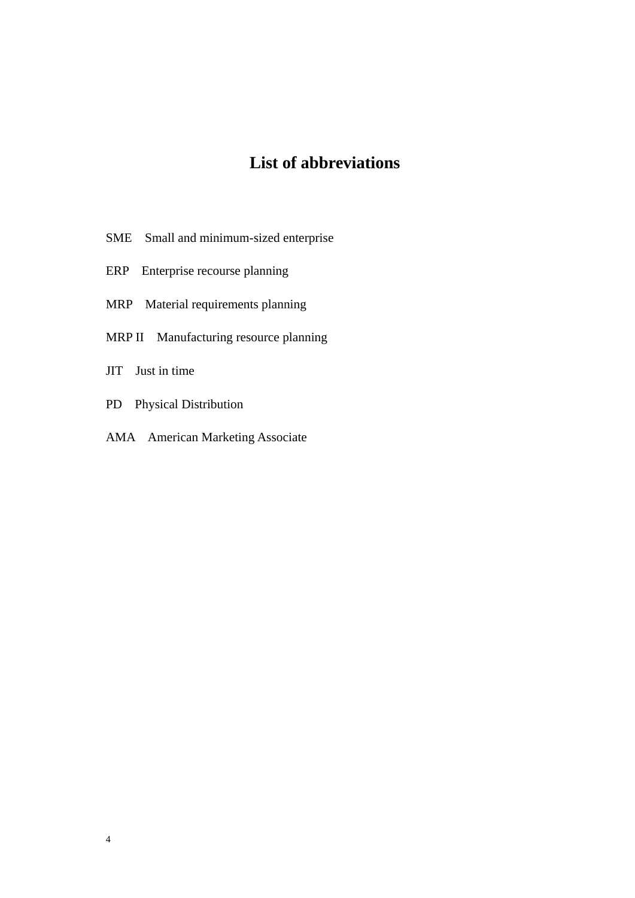# **List of abbreviations**

- SME Small and minimum-sized enterprise
- ERP Enterprise recourse planning
- MRP Material requirements planning
- MRP II Manufacturing resource planning
- JIT Just in time
- PD Physical Distribution
- AMA American Marketing Associate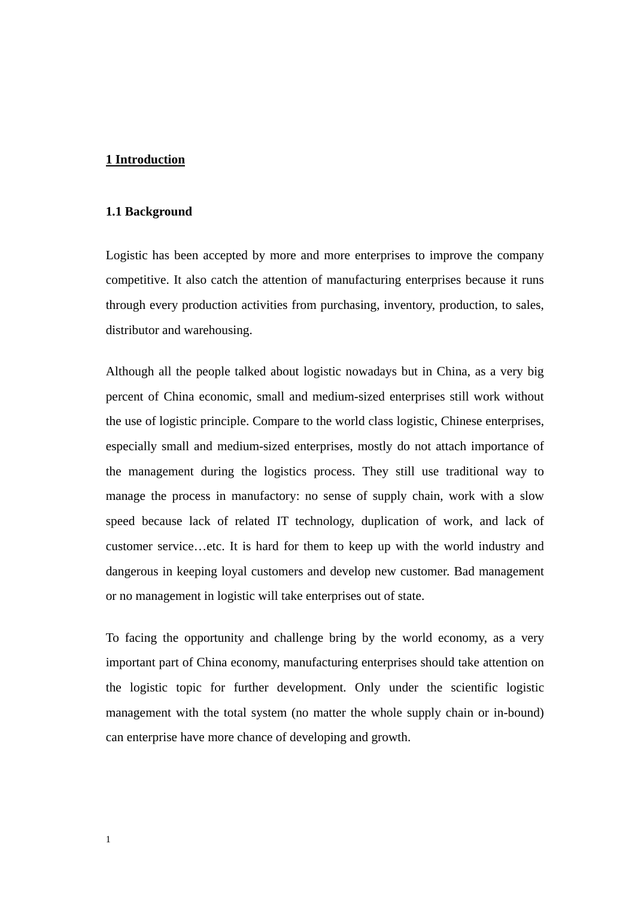#### <span id="page-12-0"></span>**1 Introduction**

#### **1.1 Background**

Logistic has been accepted by more and more enterprises to improve the company competitive. It also catch the attention of manufacturing enterprises because it runs through every production activities from purchasing, inventory, production, to sales, distributor and warehousing.

Although all the people talked about logistic nowadays but in China, as a very big percent of China economic, small and medium-sized enterprises still work without the use of logistic principle. Compare to the world class logistic, Chinese enterprises, especially small and medium-sized enterprises, mostly do not attach importance of the management during the logistics process. They still use traditional way to manage the process in manufactory: no sense of supply chain, work with a slow speed because lack of related IT technology, duplication of work, and lack of customer service…etc. It is hard for them to keep up with the world industry and dangerous in keeping loyal customers and develop new customer. Bad management or no management in logistic will take enterprises out of state.

To facing the opportunity and challenge bring by the world economy, as a very important part of China economy, manufacturing enterprises should take attention on the logistic topic for further development. Only under the scientific logistic management with the total system (no matter the whole supply chain or in-bound) can enterprise have more chance of developing and growth.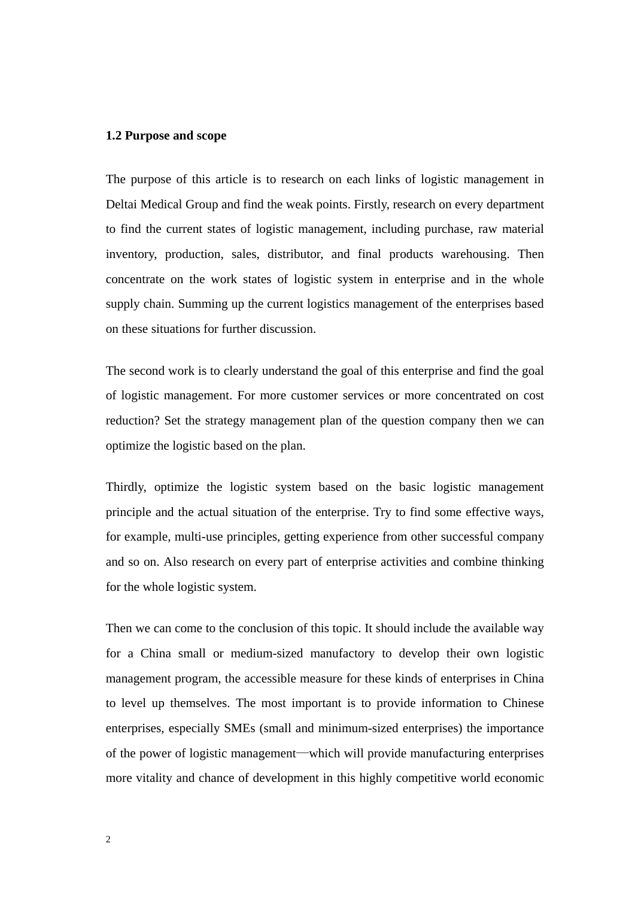#### <span id="page-13-0"></span>**1.2 Purpose and scope**

The purpose of this article is to research on each links of logistic management in Deltai Medical Group and find the weak points. Firstly, research on every department to find the current states of logistic management, including purchase, raw material inventory, production, sales, distributor, and final products warehousing. Then concentrate on the work states of logistic system in enterprise and in the whole supply chain. Summing up the current logistics management of the enterprises based on these situations for further discussion.

The second work is to clearly understand the goal of this enterprise and find the goal of logistic management. For more customer services or more concentrated on cost reduction? Set the strategy management plan of the question company then we can optimize the logistic based on the plan.

Thirdly, optimize the logistic system based on the basic logistic management principle and the actual situation of the enterprise. Try to find some effective ways, for example, multi-use principles, getting experience from other successful company and so on. Also research on every part of enterprise activities and combine thinking for the whole logistic system.

Then we can come to the conclusion of this topic. It should include the available way for a China small or medium-sized manufactory to develop their own logistic management program, the accessible measure for these kinds of enterprises in China to level up themselves. The most important is to provide information to Chinese enterprises, especially SMEs (small and minimum-sized enterprises) the importance of the power of logistic management—which will provide manufacturing enterprises more vitality and chance of development in this highly competitive world economic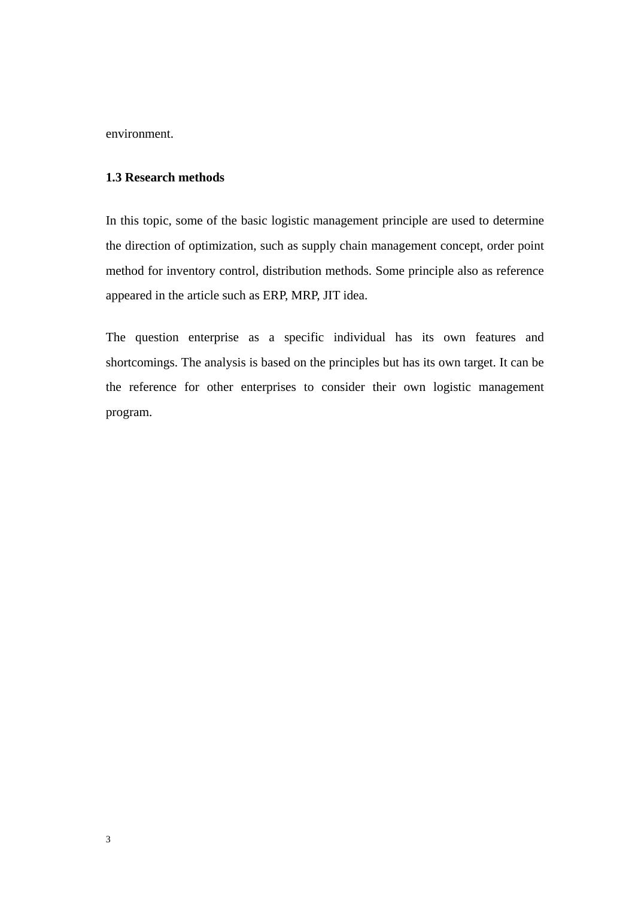<span id="page-14-0"></span>environment.

#### **1.3 Research methods**

In this topic, some of the basic logistic management principle are used to determine the direction of optimization, such as supply chain management concept, order point method for inventory control, distribution methods. Some principle also as reference appeared in the article such as ERP, MRP, JIT idea.

The question enterprise as a specific individual has its own features and shortcomings. The analysis is based on the principles but has its own target. It can be the reference for other enterprises to consider their own logistic management program.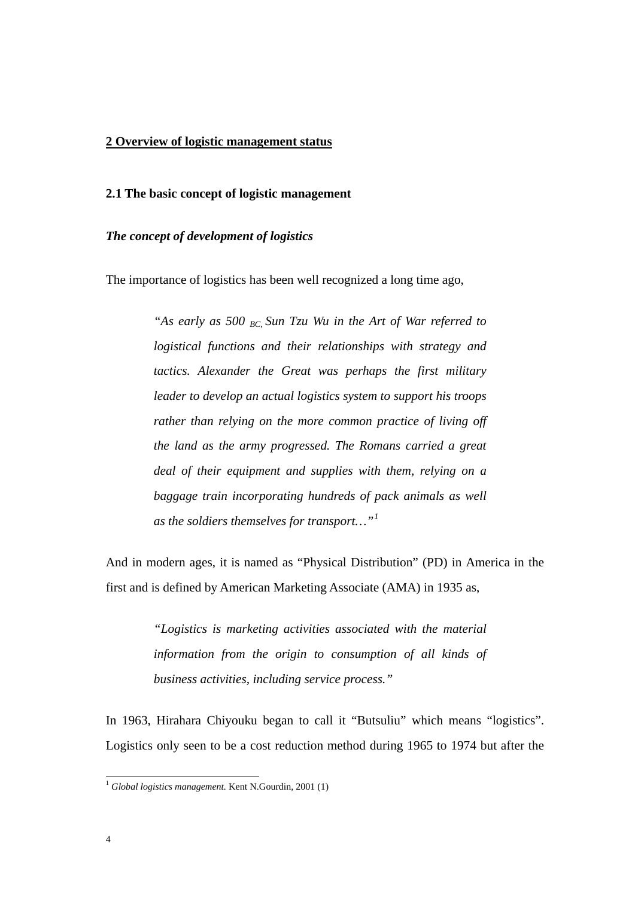#### <span id="page-15-0"></span>**2 Overview of logistic management status**

#### **2.1 The basic concept of logistic management**

#### *The concept of development of logistics*

The importance of logistics has been well recognized a long time ago,

*"As early as 500 BC, Sun Tzu Wu in the Art of War referred to logistical functions and their relationships with strategy and tactics. Alexander the Great was perhaps the first military leader to develop an actual logistics system to support his troops rather than relying on the more common practice of living off the land as the army progressed. The Romans carried a great deal of their equipment and supplies with them, relying on a baggage train incorporating hundreds of pack animals as well as the soldiers themselves for transport…"[1](#page-15-1)*

And in modern ages, it is named as "Physical Distribution" (PD) in America in the first and is defined by American Marketing Associate (AMA) in 1935 as,

> *"Logistics is marketing activities associated with the material information from the origin to consumption of all kinds of business activities, including service process."*

In 1963, Hirahara Chiyouku began to call it "Butsuliu" which means "logistics". Logistics only seen to be a cost reduction method during 1965 to 1974 but after the

<span id="page-15-1"></span><sup>&</sup>lt;sup>1</sup> Global logistics management. Kent N.Gourdin, 2001 (1)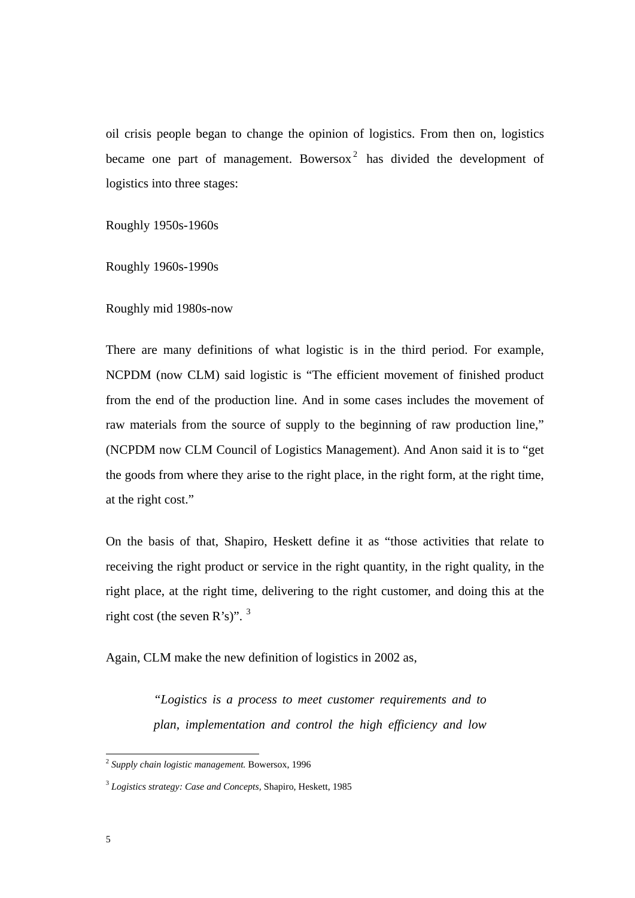oil crisis people began to change the opinion of logistics. From then on, logistics became one part of management. Bowersox<sup>[2](#page-16-0)</sup> has divided the development of logistics into three stages:

Roughly 1950s-1960s

Roughly 1960s-1990s

Roughly mid 1980s-now

There are many definitions of what logistic is in the third period. For example, NCPDM (now CLM) said logistic is "The efficient movement of finished product from the end of the production line. And in some cases includes the movement of raw materials from the source of supply to the beginning of raw production line," (NCPDM now CLM Council of Logistics Management). And Anon said it is to "get the goods from where they arise to the right place, in the right form, at the right time, at the right cost."

On the basis of that, Shapiro, Heskett define it as "those activities that relate to receiving the right product or service in the right quantity, in the right quality, in the right place, at the right time, delivering to the right customer, and doing this at the right cost (the seven  $R's$ )".  $3$ 

Again, CLM make the new definition of logistics in 2002 as,

*"Logistics is a process to meet customer requirements and to plan, implementation and control the high efficiency and low* 

<span id="page-16-0"></span><sup>2</sup> *Supply chain logistic management.* Bowersox, 1996

<span id="page-16-1"></span><sup>3</sup> *Logistics strategy: Case and Concepts,* Shapiro, Heskett, 1985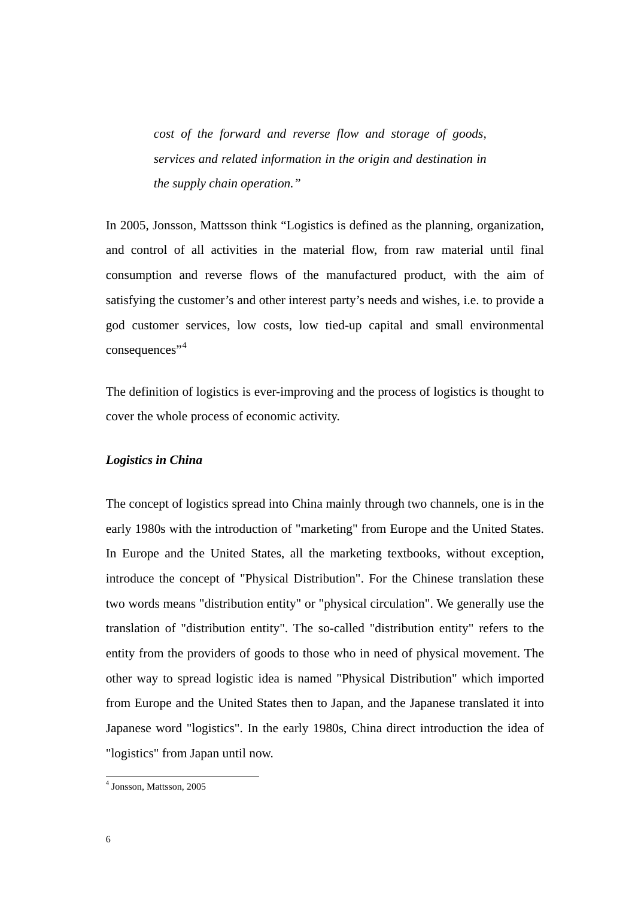<span id="page-17-0"></span>*cost of the forward and reverse flow and storage of goods, services and related information in the origin and destination in the supply chain operation."* 

In 2005, Jonsson, Mattsson think "Logistics is defined as the planning, organization, and control of all activities in the material flow, from raw material until final consumption and reverse flows of the manufactured product, with the aim of satisfying the customer's and other interest party's needs and wishes, i.e. to provide a god customer services, low costs, low tied-up capital and small environmental consequences"<sup>[4](#page-17-1)</sup>

The definition of logistics is ever-improving and the process of logistics is thought to cover the whole process of economic activity.

#### *Logistics in China*

The concept of logistics spread into China mainly through two channels, one is in the early 1980s with the introduction of "marketing" from Europe and the United States. In Europe and the United States, all the marketing textbooks, without exception, introduce the concept of "Physical Distribution". For the Chinese translation these two words means "distribution entity" or "physical circulation". We generally use the translation of "distribution entity". The so-called "distribution entity" refers to the entity from the providers of goods to those who in need of physical movement. The other way to spread logistic idea is named "Physical Distribution" which imported from Europe and the United States then to Japan, and the Japanese translated it into Japanese word "logistics". In the early 1980s, China direct introduction the idea of "logistics" from Japan until now.

<span id="page-17-1"></span><sup>4</sup> Jonsson, Mattsson, 2005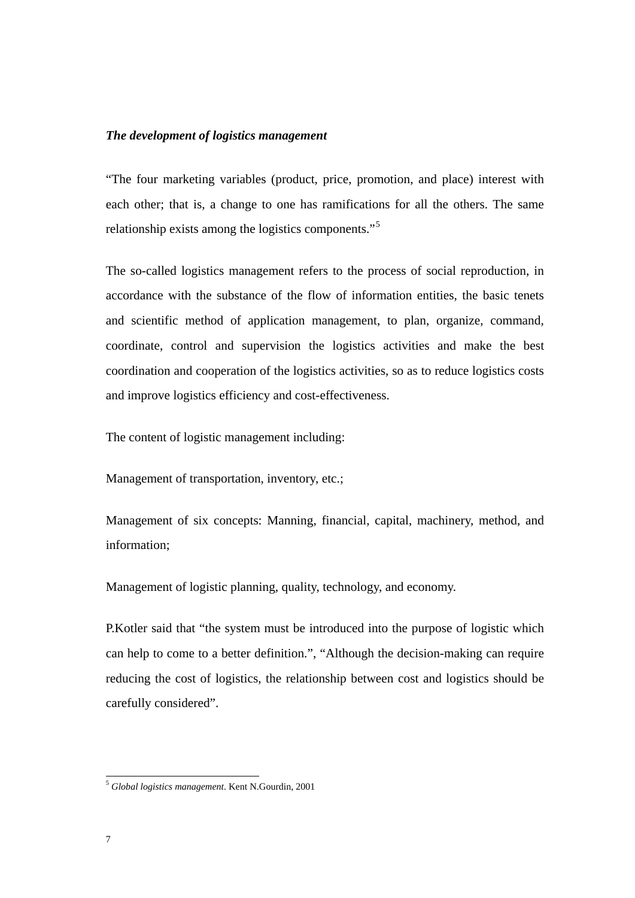#### <span id="page-18-0"></span>*The development of logistics management*

"The four marketing variables (product, price, promotion, and place) interest with each other; that is, a change to one has ramifications for all the others. The same relationship exists among the logistics components."[5](#page-18-1)

The so-called logistics management refers to the process of social reproduction, in accordance with the substance of the flow of information entities, the basic tenets and scientific method of application management, to plan, organize, command, coordinate, control and supervision the logistics activities and make the best coordination and cooperation of the logistics activities, so as to reduce logistics costs and improve logistics efficiency and cost-effectiveness.

The content of logistic management including:

Management of transportation, inventory, etc.;

Management of six concepts: Manning, financial, capital, machinery, method, and information;

Management of logistic planning, quality, technology, and economy.

P.Kotler said that "the system must be introduced into the purpose of logistic which can help to come to a better definition.", "Although the decision-making can require reducing the cost of logistics, the relationship between cost and logistics should be carefully considered".

<span id="page-18-1"></span><sup>5</sup> *Global logistics management*. Kent N.Gourdin, 2001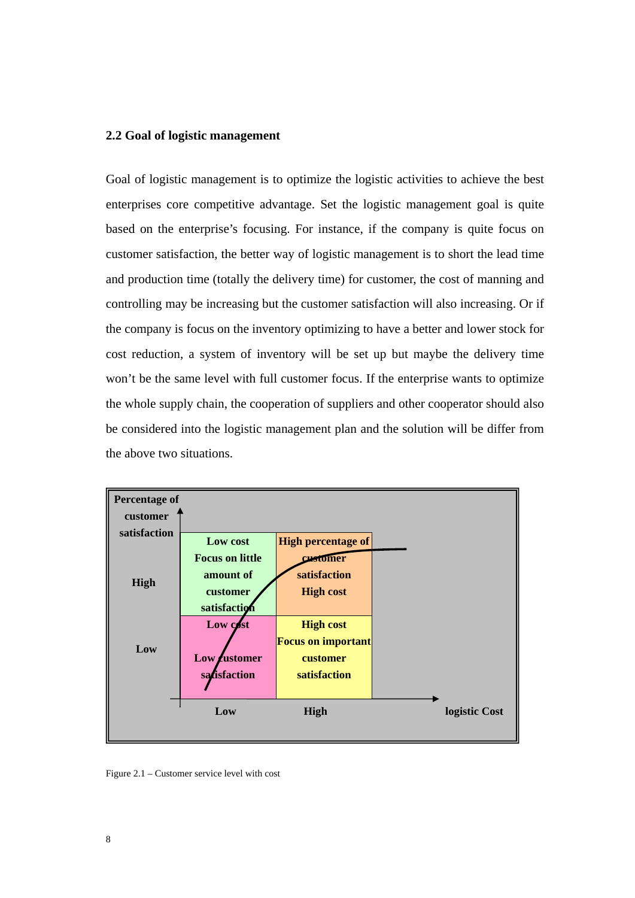#### <span id="page-19-0"></span>**2.2 Goal of logistic management**

Goal of logistic management is to optimize the logistic activities to achieve the best enterprises core competitive advantage. Set the logistic management goal is quite based on the enterprise's focusing. For instance, if the company is quite focus on customer satisfaction, the better way of logistic management is to short the lead time and production time (totally the delivery time) for customer, the cost of manning and controlling may be increasing but the customer satisfaction will also increasing. Or if the company is focus on the inventory optimizing to have a better and lower stock for cost reduction, a system of inventory will be set up but maybe the delivery time won't be the same level with full customer focus. If the enterprise wants to optimize the whole supply chain, the cooperation of suppliers and other cooperator should also be considered into the logistic management plan and the solution will be differ from the above two situations.



Figure 2.1 – Customer service level with cost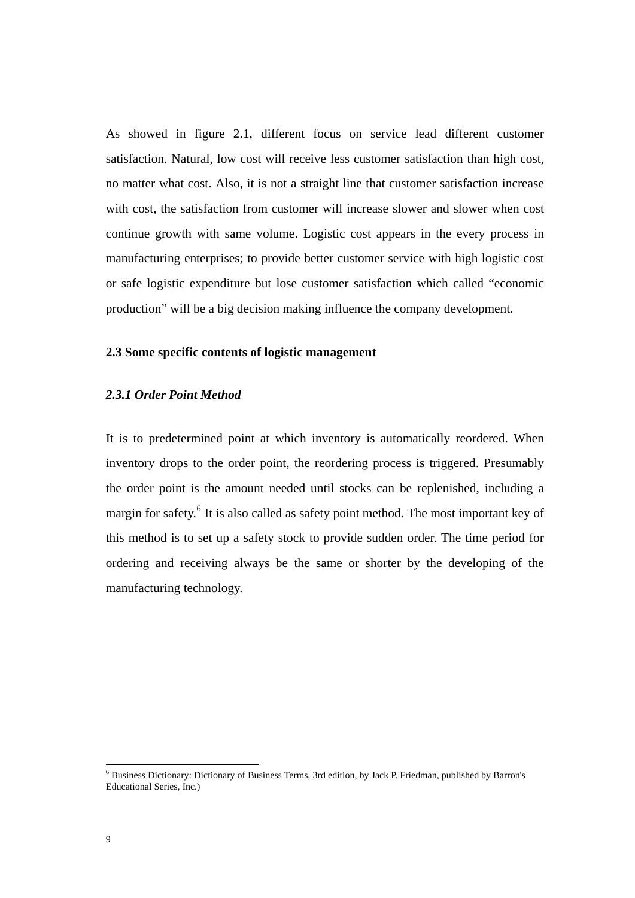<span id="page-20-0"></span>As showed in figure 2.1, different focus on service lead different customer satisfaction. Natural, low cost will receive less customer satisfaction than high cost, no matter what cost. Also, it is not a straight line that customer satisfaction increase with cost, the satisfaction from customer will increase slower and slower when cost continue growth with same volume. Logistic cost appears in the every process in manufacturing enterprises; to provide better customer service with high logistic cost or safe logistic expenditure but lose customer satisfaction which called "economic production" will be a big decision making influence the company development.

#### **2.3 Some specific contents of logistic management**

#### *2.3.1 Order Point Method*

It is to predetermined point at which inventory is automatically reordered. When inventory drops to the order point, the reordering process is triggered. Presumably the order point is the amount needed until stocks can be replenished, including a margin for safety.<sup>[6](#page-20-1)</sup> It is also called as safety point method. The most important key of this method is to set up a safety stock to provide sudden order. The time period for ordering and receiving always be the same or shorter by the developing of the manufacturing technology.

<span id="page-20-1"></span> 6 Business Dictionary: Dictionary of Business Terms, 3rd edition, by Jack P. Friedman, published by Barron's Educational Series, Inc.)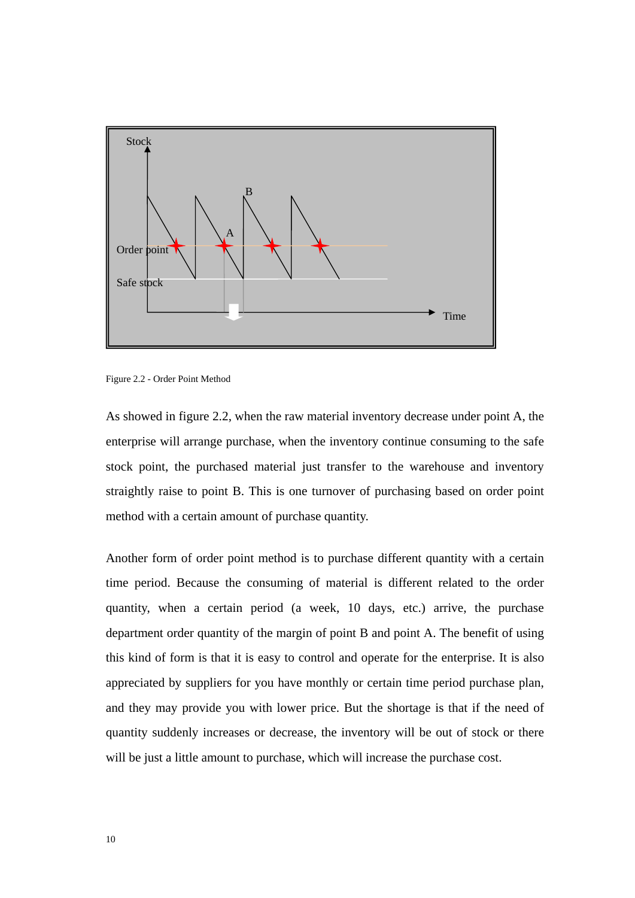<span id="page-21-0"></span>

Figure 2.2 - Order Point Method

As showed in figure 2.2, when the raw material inventory decrease under point A, the enterprise will arrange purchase, when the inventory continue consuming to the safe stock point, the purchased material just transfer to the warehouse and inventory straightly raise to point B. This is one turnover of purchasing based on order point method with a certain amount of purchase quantity.

Another form of order point method is to purchase different quantity with a certain time period. Because the consuming of material is different related to the order quantity, when a certain period (a week, 10 days, etc.) arrive, the purchase department order quantity of the margin of point B and point A. The benefit of using this kind of form is that it is easy to control and operate for the enterprise. It is also appreciated by suppliers for you have monthly or certain time period purchase plan, and they may provide you with lower price. But the shortage is that if the need of quantity suddenly increases or decrease, the inventory will be out of stock or there will be just a little amount to purchase, which will increase the purchase cost.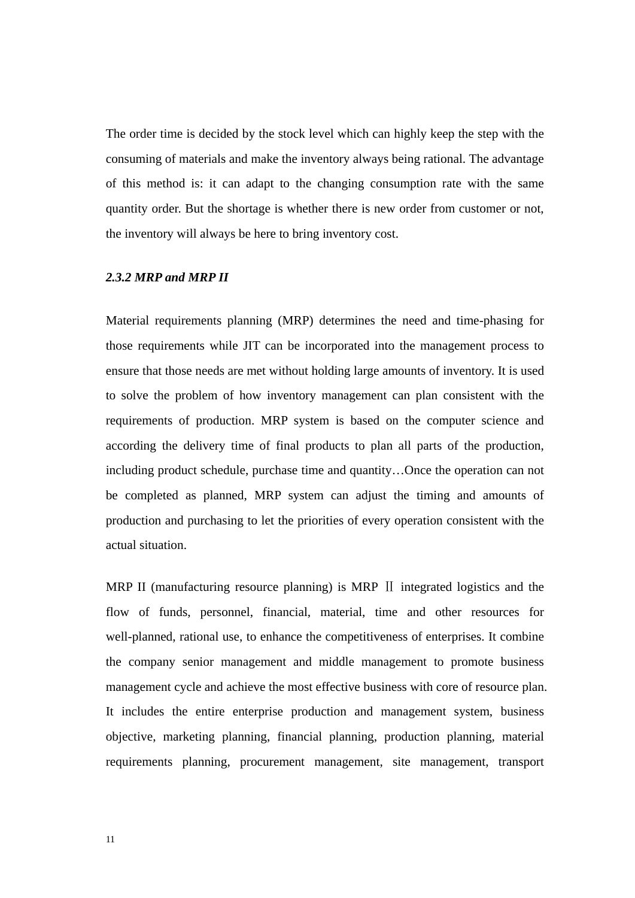<span id="page-22-0"></span>The order time is decided by the stock level which can highly keep the step with the consuming of materials and make the inventory always being rational. The advantage of this method is: it can adapt to the changing consumption rate with the same quantity order. But the shortage is whether there is new order from customer or not, the inventory will always be here to bring inventory cost.

#### *2.3.2 MRP and MRP II*

Material requirements planning (MRP) determines the need and time-phasing for those requirements while JIT can be incorporated into the management process to ensure that those needs are met without holding large amounts of inventory. It is used to solve the problem of how inventory management can plan consistent with the requirements of production. MRP system is based on the computer science and according the delivery time of final products to plan all parts of the production, including product schedule, purchase time and quantity…Once the operation can not be completed as planned, MRP system can adjust the timing and amounts of production and purchasing to let the priorities of every operation consistent with the actual situation.

MRP II (manufacturing resource planning) is MRP II integrated logistics and the flow of funds, personnel, financial, material, time and other resources for well-planned, rational use, to enhance the competitiveness of enterprises. It combine the company senior management and middle management to promote business management cycle and achieve the most effective business with core of resource plan. It includes the entire enterprise production and management system, business objective, marketing planning, financial planning, production planning, material requirements planning, procurement management, site management, transport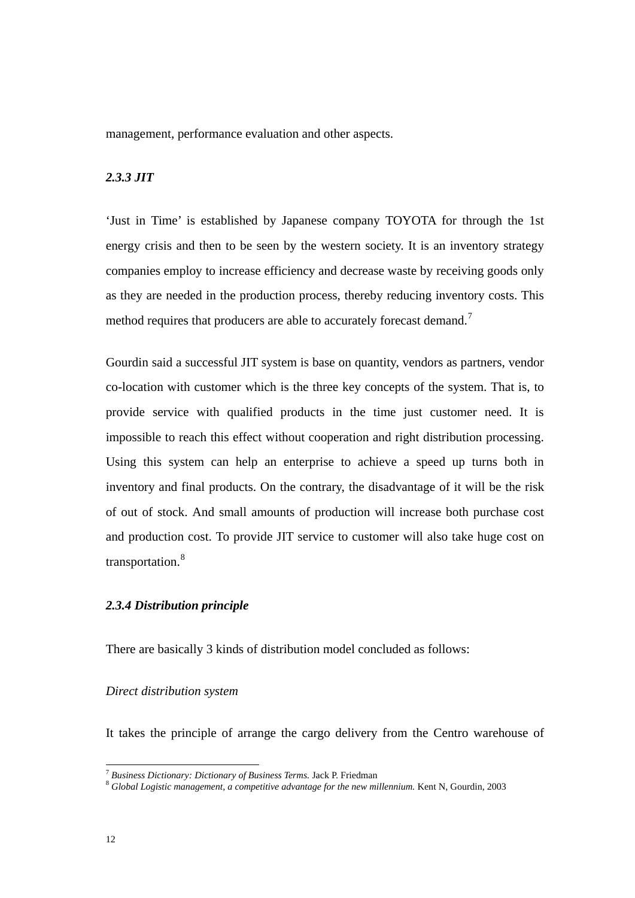<span id="page-23-0"></span>management, performance evaluation and other aspects.

#### *2.3.3 JIT*

'Just in Time' is established by Japanese company TOYOTA for through the 1st energy crisis and then to be seen by the western society. It is an inventory strategy companies employ to increase efficiency and decrease waste by receiving goods only as they are needed in the production process, thereby reducing inventory costs. This method requires that producers are able to accurately forecast demand.<sup>[7](#page-23-1)</sup>

Gourdin said a successful JIT system is base on quantity, vendors as partners, vendor co-location with customer which is the three key concepts of the system. That is, to provide service with qualified products in the time just customer need. It is impossible to reach this effect without cooperation and right distribution processing. Using this system can help an enterprise to achieve a speed up turns both in inventory and final products. On the contrary, the disadvantage of it will be the risk of out of stock. And small amounts of production will increase both purchase cost and production cost. To provide JIT service to customer will also take huge cost on transportation.<sup>[8](#page-23-2)</sup>

#### *2.3.4 Distribution principle*

There are basically 3 kinds of distribution model concluded as follows:

#### *Direct distribution system*

It takes the principle of arrange the cargo delivery from the Centro warehouse of

<span id="page-23-1"></span> $7$  Business Dictionary: Dictionary of Business Terms. Jack P. Friedman

<span id="page-23-2"></span><sup>&</sup>lt;sup>8</sup> Global Logistic management, a competitive advantage for the new millennium. Kent N, Gourdin, 2003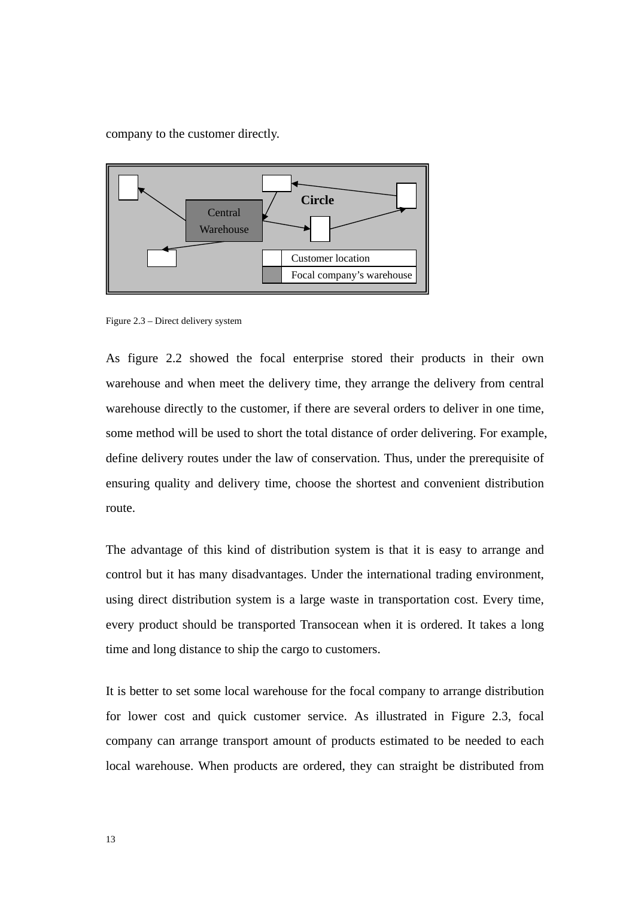<span id="page-24-0"></span>company to the customer directly.



Figure 2.3 – Direct delivery system

As figure 2.2 showed the focal enterprise stored their products in their own warehouse and when meet the delivery time, they arrange the delivery from central warehouse directly to the customer, if there are several orders to deliver in one time, some method will be used to short the total distance of order delivering. For example, define delivery routes under the law of conservation. Thus, under the prerequisite of ensuring quality and delivery time, choose the shortest and convenient distribution route.

The advantage of this kind of distribution system is that it is easy to arrange and control but it has many disadvantages. Under the international trading environment, using direct distribution system is a large waste in transportation cost. Every time, every product should be transported Transocean when it is ordered. It takes a long time and long distance to ship the cargo to customers.

It is better to set some local warehouse for the focal company to arrange distribution for lower cost and quick customer service. As illustrated in Figure 2.3, focal company can arrange transport amount of products estimated to be needed to each local warehouse. When products are ordered, they can straight be distributed from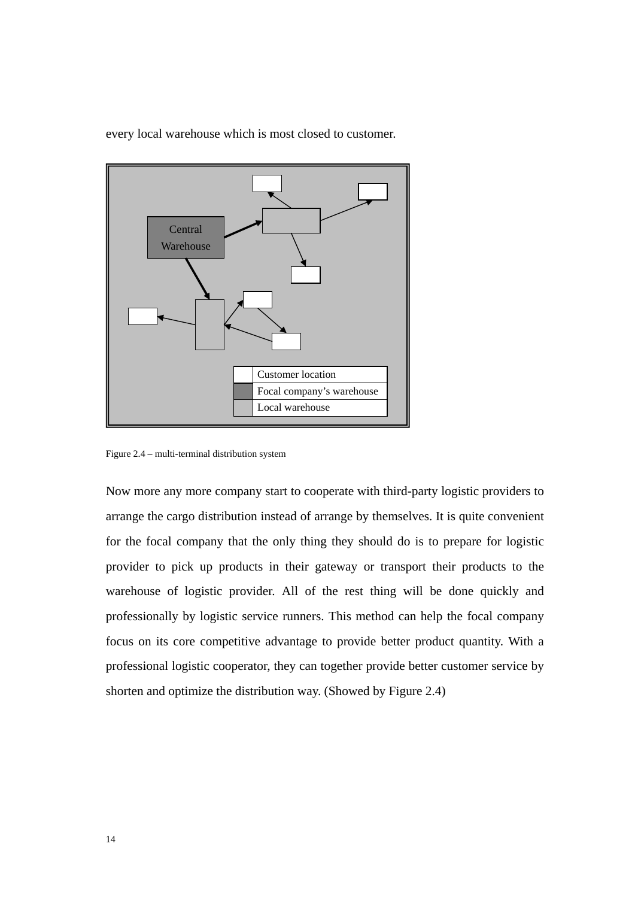

<span id="page-25-0"></span>every local warehouse which is most closed to customer.

Figure 2.4 – multi-terminal distribution system

Now more any more company start to cooperate with third-party logistic providers to arrange the cargo distribution instead of arrange by themselves. It is quite convenient for the focal company that the only thing they should do is to prepare for logistic provider to pick up products in their gateway or transport their products to the warehouse of logistic provider. All of the rest thing will be done quickly and professionally by logistic service runners. This method can help the focal company focus on its core competitive advantage to provide better product quantity. With a professional logistic cooperator, they can together provide better customer service by shorten and optimize the distribution way. (Showed by Figure 2.4)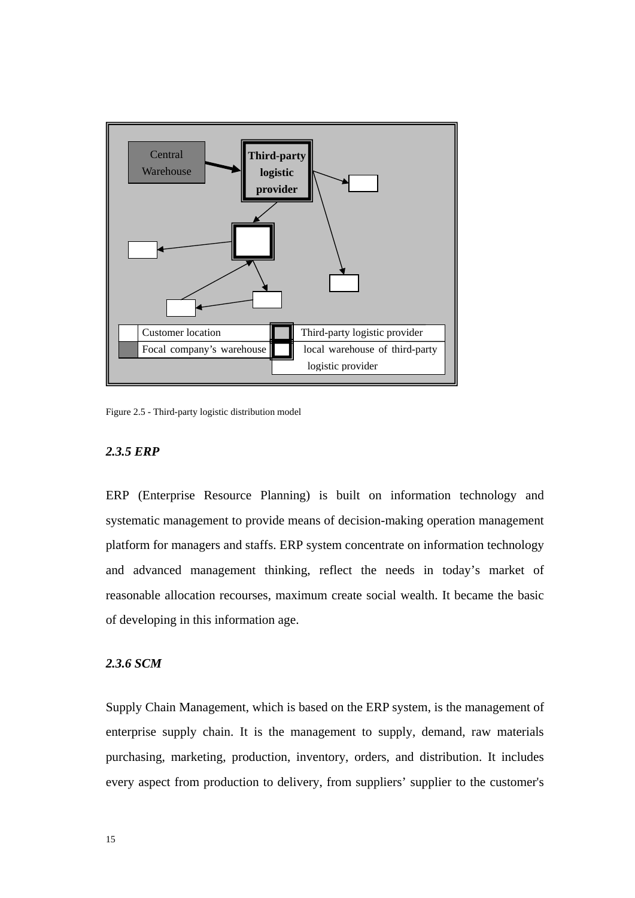<span id="page-26-0"></span>

Figure 2.5 - Third-party logistic distribution model

#### *2.3.5 ERP*

ERP (Enterprise Resource Planning) is built on information technology and systematic management to provide means of decision-making operation management platform for managers and staffs. ERP system concentrate on information technology and advanced management thinking, reflect the needs in today's market of reasonable allocation recourses, maximum create social wealth. It became the basic of developing in this information age.

#### *2.3.6 SCM*

Supply Chain Management, which is based on the ERP system, is the management of enterprise supply chain. It is the management to supply, demand, raw materials purchasing, marketing, production, inventory, orders, and distribution. It includes every aspect from production to delivery, from suppliers' supplier to the customer's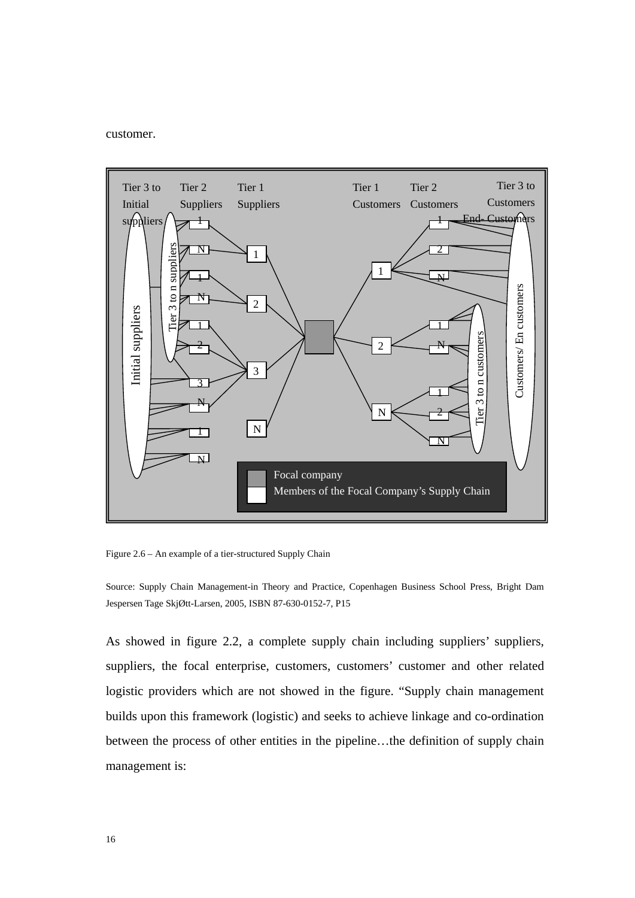<span id="page-27-0"></span>customer.



Figure 2.6 – An example of a tier-structured Supply Chain

Source: Supply Chain Management-in Theory and Practice, Copenhagen Business School Press, Bright Dam Jespersen Tage SkjØtt-Larsen, 2005, ISBN 87-630-0152-7, P15

As showed in figure 2.2, a complete supply chain including suppliers' suppliers, suppliers, the focal enterprise, customers, customers' customer and other related logistic providers which are not showed in the figure. "Supply chain management builds upon this framework (logistic) and seeks to achieve linkage and co-ordination between the process of other entities in the pipeline…the definition of supply chain management is: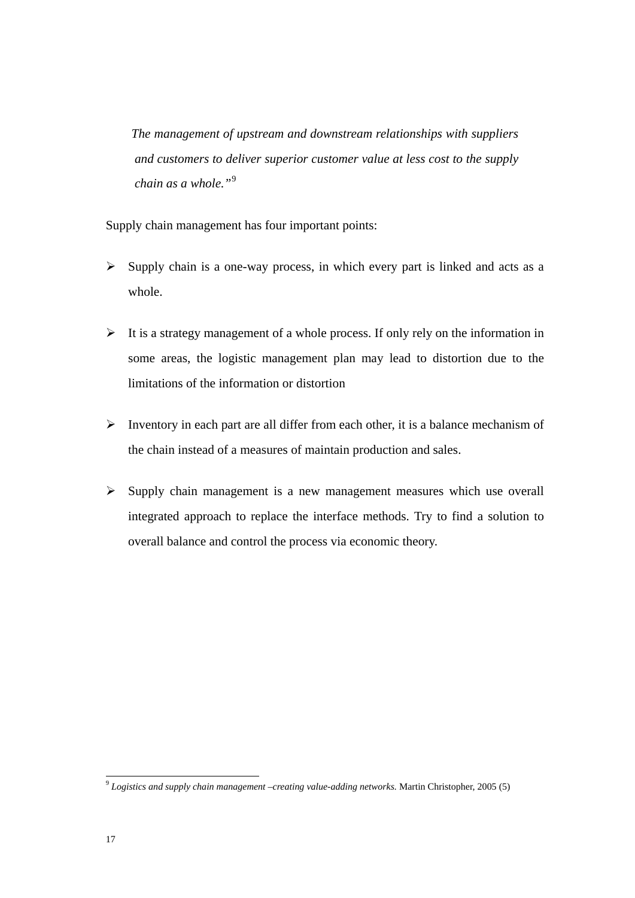*The management of upstream and downstream relationships with suppliers and customers to deliver superior customer value at less cost to the supply chain as a whole."*[9](#page-28-0)

Supply chain management has four important points:

- $\triangleright$  Supply chain is a one-way process, in which every part is linked and acts as a whole.
- $\triangleright$  It is a strategy management of a whole process. If only rely on the information in some areas, the logistic management plan may lead to distortion due to the limitations of the information or distortion
- $\triangleright$  Inventory in each part are all differ from each other, it is a balance mechanism of the chain instead of a measures of maintain production and sales.
- $\triangleright$  Supply chain management is a new management measures which use overall integrated approach to replace the interface methods. Try to find a solution to overall balance and control the process via economic theory.

<span id="page-28-0"></span><sup>9</sup> *Logistics and supply chain management –creating value-adding networks.* Martin Christopher, 2005 (5)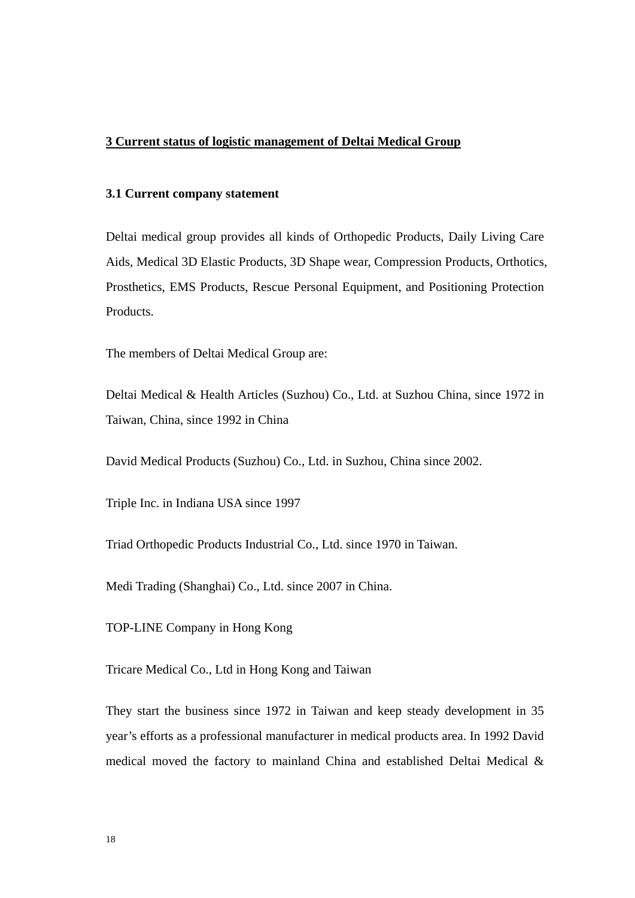#### <span id="page-29-0"></span>**3 Current status of logistic management of Deltai Medical Group**

#### **3.1 Current company statement**

Deltai medical group provides all kinds of Orthopedic Products, Daily Living Care Aids, Medical 3D Elastic Products, 3D Shape wear, Compression Products, Orthotics, Prosthetics, EMS Products, Rescue Personal Equipment, and Positioning Protection Products.

The members of Deltai Medical Group are:

Deltai Medical & Health Articles (Suzhou) Co., Ltd. at Suzhou China, since 1972 in Taiwan, China, since 1992 in China

David Medical Products (Suzhou) Co., Ltd. in Suzhou, China since 2002.

Triple Inc. in Indiana USA since 1997

Triad Orthopedic Products Industrial Co., Ltd. since 1970 in Taiwan.

Medi Trading (Shanghai) Co., Ltd. since 2007 in China.

TOP-LINE Company in Hong Kong

Tricare Medical Co., Ltd in Hong Kong and Taiwan

They start the business since 1972 in Taiwan and keep steady development in 35 year's efforts as a professional manufacturer in medical products area. In 1992 David medical moved the factory to mainland China and established Deltai Medical &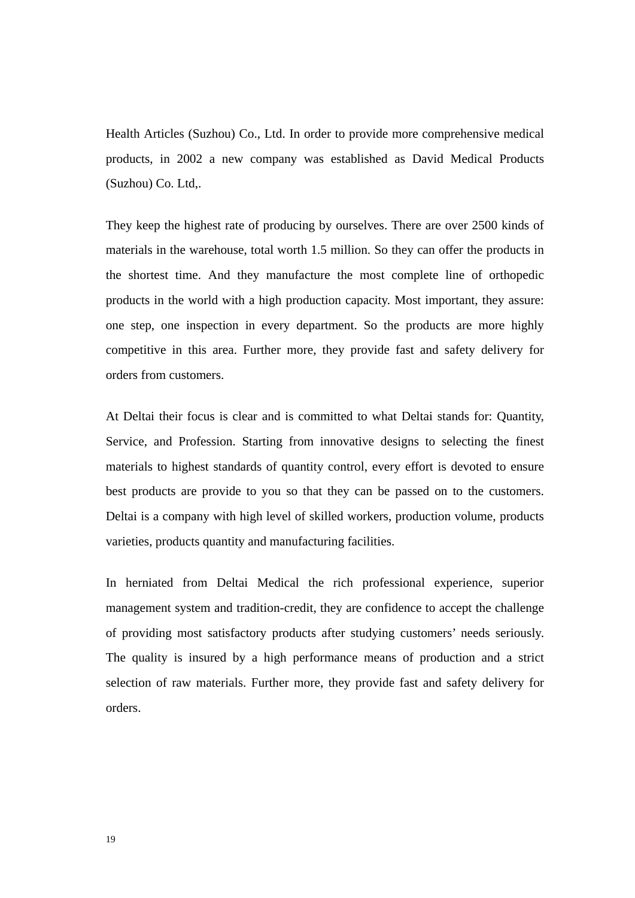Health Articles (Suzhou) Co., Ltd. In order to provide more comprehensive medical products, in 2002 a new company was established as David Medical Products (Suzhou) Co. Ltd,.

They keep the highest rate of producing by ourselves. There are over 2500 kinds of materials in the warehouse, total worth 1.5 million. So they can offer the products in the shortest time. And they manufacture the most complete line of orthopedic products in the world with a high production capacity. Most important, they assure: one step, one inspection in every department. So the products are more highly competitive in this area. Further more, they provide fast and safety delivery for orders from customers.

At Deltai their focus is clear and is committed to what Deltai stands for: Quantity, Service, and Profession. Starting from innovative designs to selecting the finest materials to highest standards of quantity control, every effort is devoted to ensure best products are provide to you so that they can be passed on to the customers. Deltai is a company with high level of skilled workers, production volume, products varieties, products quantity and manufacturing facilities.

In herniated from Deltai Medical the rich professional experience, superior management system and tradition-credit, they are confidence to accept the challenge of providing most satisfactory products after studying customers' needs seriously. The quality is insured by a high performance means of production and a strict selection of raw materials. Further more, they provide fast and safety delivery for orders.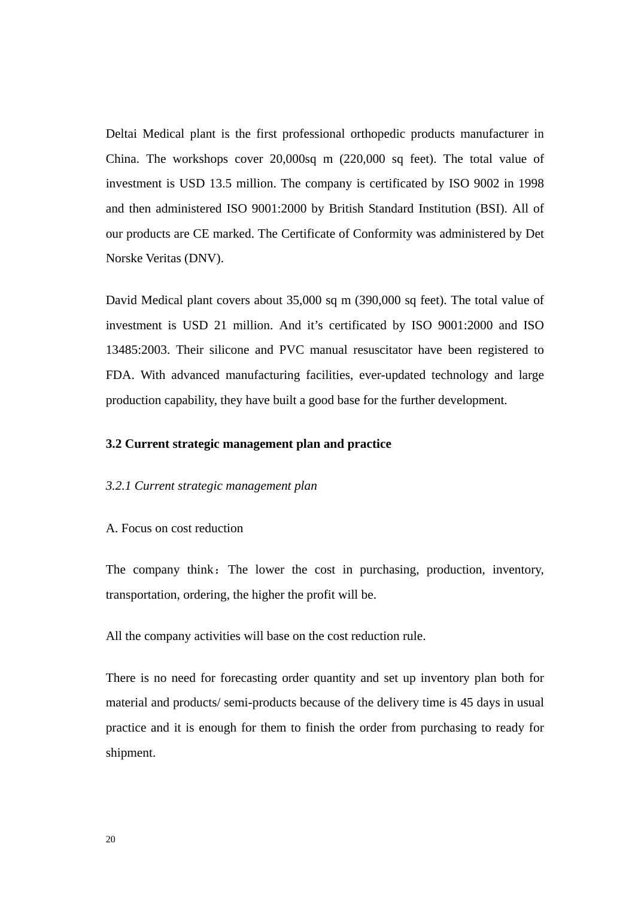<span id="page-31-0"></span>Deltai Medical plant is the first professional orthopedic products manufacturer in China. The workshops cover 20,000sq m (220,000 sq feet). The total value of investment is USD 13.5 million. The company is certificated by ISO 9002 in 1998 and then administered ISO 9001:2000 by British Standard Institution (BSI). All of our products are CE marked. The Certificate of Conformity was administered by Det Norske Veritas (DNV).

David Medical plant covers about 35,000 sq m (390,000 sq feet). The total value of investment is USD 21 million. And it's certificated by ISO 9001:2000 and ISO 13485:2003. Their silicone and PVC manual resuscitator have been registered to FDA. With advanced manufacturing facilities, ever-updated technology and large production capability, they have built a good base for the further development.

#### **3.2 Current strategic management plan and practice**

#### *3.2.1 Current strategic management plan*

#### A. Focus on cost reduction

The company think: The lower the cost in purchasing, production, inventory, transportation, ordering, the higher the profit will be.

All the company activities will base on the cost reduction rule.

There is no need for forecasting order quantity and set up inventory plan both for material and products/ semi-products because of the delivery time is 45 days in usual practice and it is enough for them to finish the order from purchasing to ready for shipment.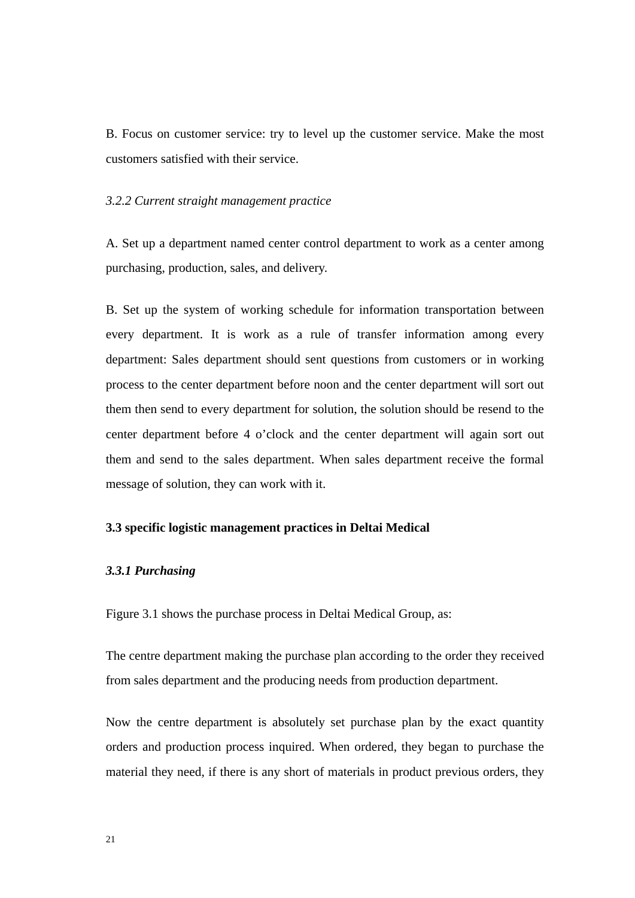<span id="page-32-0"></span>B. Focus on customer service: try to level up the customer service. Make the most customers satisfied with their service.

#### *3.2.2 Current straight management practice*

A. Set up a department named center control department to work as a center among purchasing, production, sales, and delivery.

B. Set up the system of working schedule for information transportation between every department. It is work as a rule of transfer information among every department: Sales department should sent questions from customers or in working process to the center department before noon and the center department will sort out them then send to every department for solution, the solution should be resend to the center department before 4 o'clock and the center department will again sort out them and send to the sales department. When sales department receive the formal message of solution, they can work with it.

#### **3.3 specific logistic management practices in Deltai Medical**

#### *3.3.1 Purchasing*

Figure 3.1 shows the purchase process in Deltai Medical Group, as:

The centre department making the purchase plan according to the order they received from sales department and the producing needs from production department.

Now the centre department is absolutely set purchase plan by the exact quantity orders and production process inquired. When ordered, they began to purchase the material they need, if there is any short of materials in product previous orders, they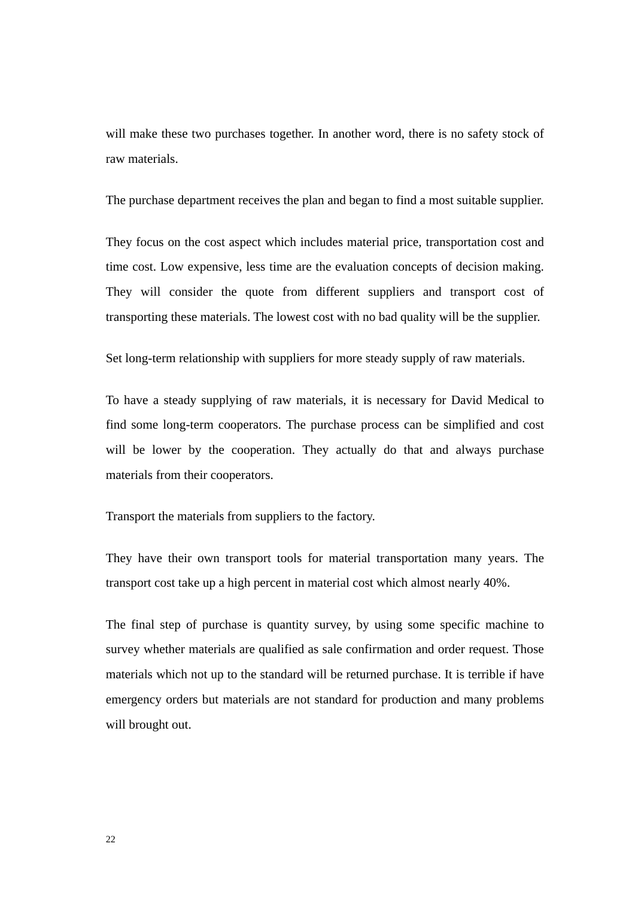will make these two purchases together. In another word, there is no safety stock of raw materials.

The purchase department receives the plan and began to find a most suitable supplier.

They focus on the cost aspect which includes material price, transportation cost and time cost. Low expensive, less time are the evaluation concepts of decision making. They will consider the quote from different suppliers and transport cost of transporting these materials. The lowest cost with no bad quality will be the supplier.

Set long-term relationship with suppliers for more steady supply of raw materials.

To have a steady supplying of raw materials, it is necessary for David Medical to find some long-term cooperators. The purchase process can be simplified and cost will be lower by the cooperation. They actually do that and always purchase materials from their cooperators.

Transport the materials from suppliers to the factory.

They have their own transport tools for material transportation many years. The transport cost take up a high percent in material cost which almost nearly 40%.

The final step of purchase is quantity survey, by using some specific machine to survey whether materials are qualified as sale confirmation and order request. Those materials which not up to the standard will be returned purchase. It is terrible if have emergency orders but materials are not standard for production and many problems will brought out.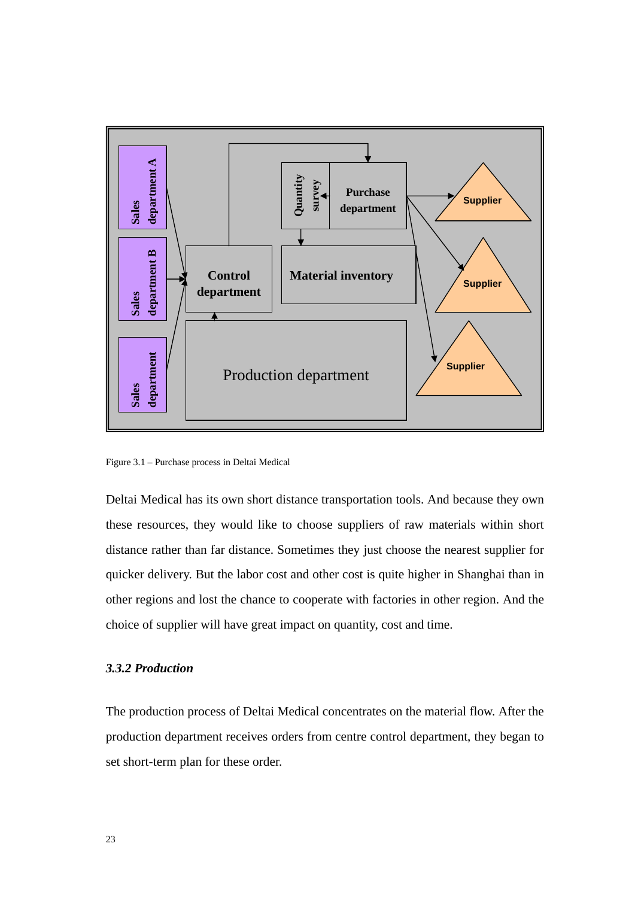<span id="page-34-0"></span>

Figure 3.1 – Purchase process in Deltai Medical

Deltai Medical has its own short distance transportation tools. And because they own these resources, they would like to choose suppliers of raw materials within short distance rather than far distance. Sometimes they just choose the nearest supplier for quicker delivery. But the labor cost and other cost is quite higher in Shanghai than in other regions and lost the chance to cooperate with factories in other region. And the choice of supplier will have great impact on quantity, cost and time.

#### *3.3.2 Production*

The production process of Deltai Medical concentrates on the material flow. After the production department receives orders from centre control department, they began to set short-term plan for these order.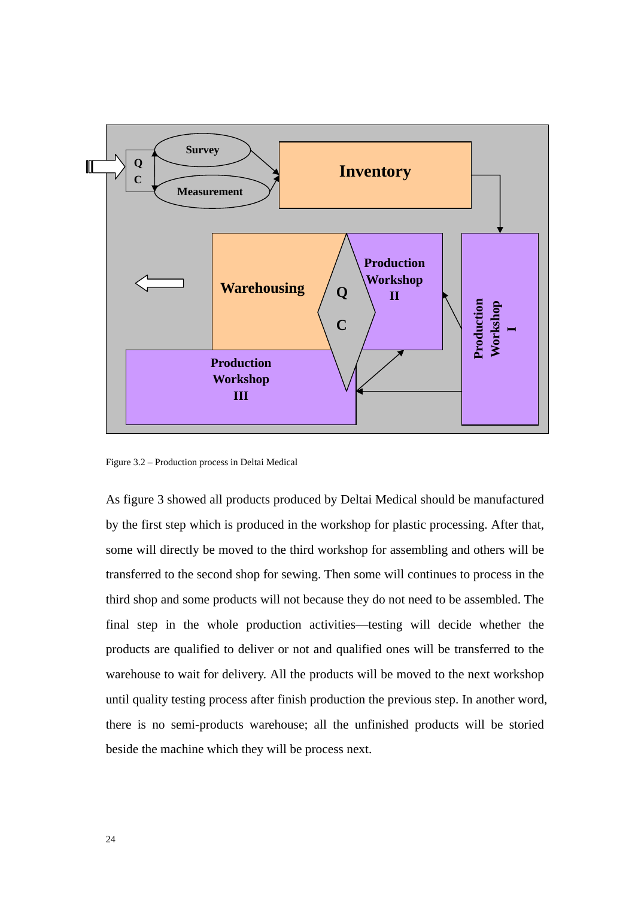<span id="page-35-0"></span>

Figure 3.2 – Production process in Deltai Medical

As figure 3 showed all products produced by Deltai Medical should be manufactured by the first step which is produced in the workshop for plastic processing. After that, some will directly be moved to the third workshop for assembling and others will be transferred to the second shop for sewing. Then some will continues to process in the third shop and some products will not because they do not need to be assembled. The final step in the whole production activities—testing will decide whether the products are qualified to deliver or not and qualified ones will be transferred to the warehouse to wait for delivery. All the products will be moved to the next workshop until quality testing process after finish production the previous step. In another word, there is no semi-products warehouse; all the unfinished products will be storied beside the machine which they will be process next.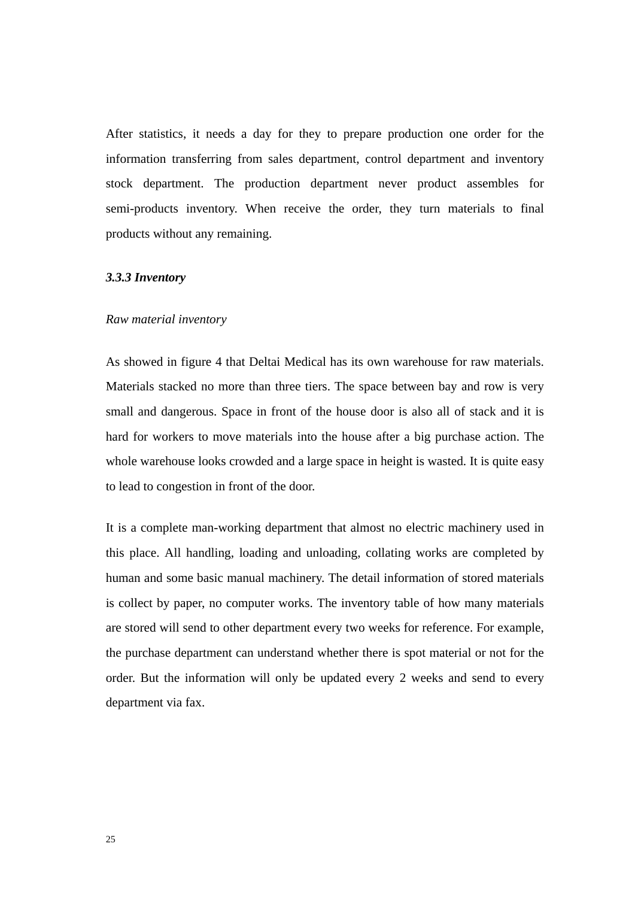After statistics, it needs a day for they to prepare production one order for the information transferring from sales department, control department and inventory stock department. The production department never product assembles for semi-products inventory. When receive the order, they turn materials to final products without any remaining.

### *3.3.3 Inventory*

### *Raw material inventory*

As showed in figure 4 that Deltai Medical has its own warehouse for raw materials. Materials stacked no more than three tiers. The space between bay and row is very small and dangerous. Space in front of the house door is also all of stack and it is hard for workers to move materials into the house after a big purchase action. The whole warehouse looks crowded and a large space in height is wasted. It is quite easy to lead to congestion in front of the door.

It is a complete man-working department that almost no electric machinery used in this place. All handling, loading and unloading, collating works are completed by human and some basic manual machinery. The detail information of stored materials is collect by paper, no computer works. The inventory table of how many materials are stored will send to other department every two weeks for reference. For example, the purchase department can understand whether there is spot material or not for the order. But the information will only be updated every 2 weeks and send to every department via fax.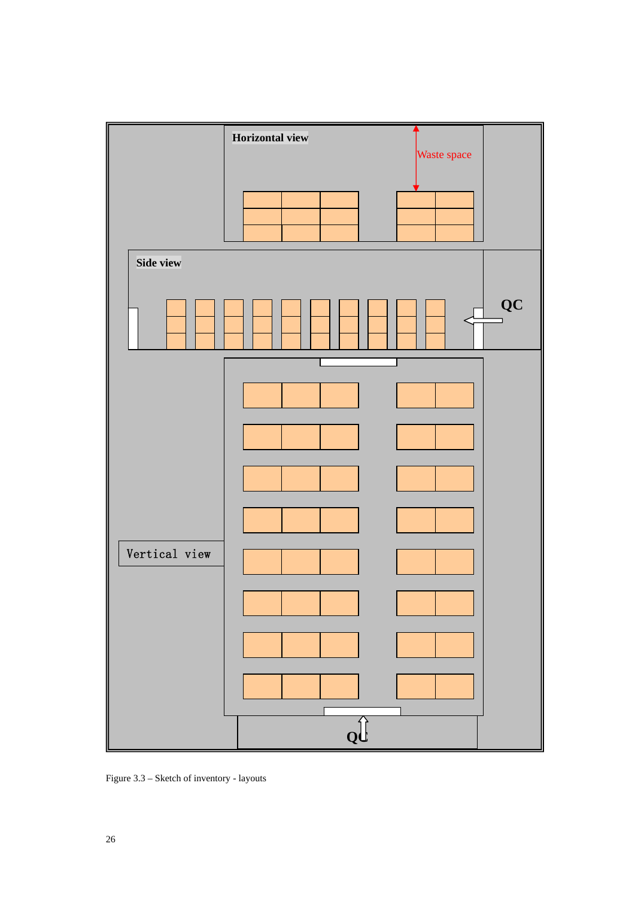

Figure 3.3 – Sketch of inventory - layouts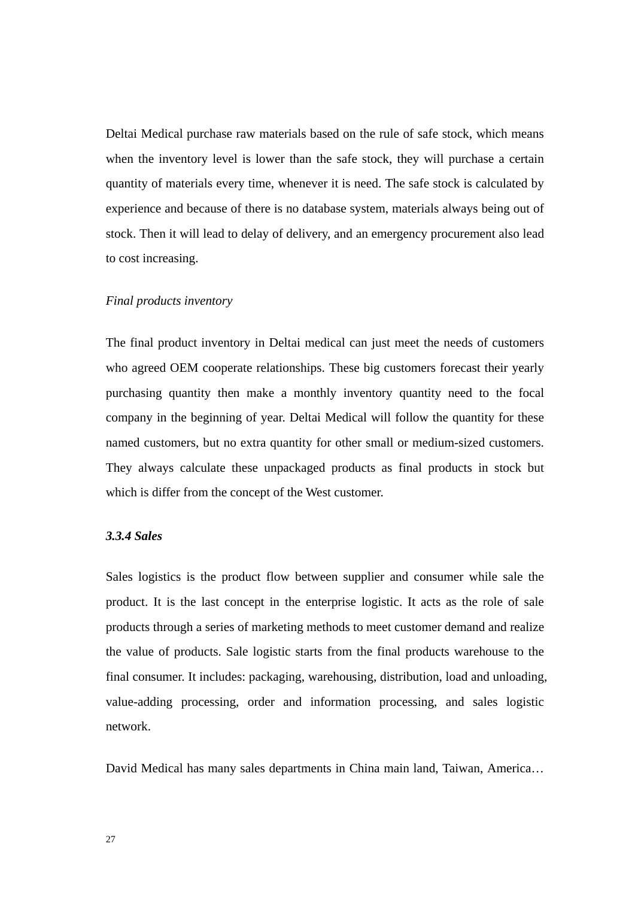Deltai Medical purchase raw materials based on the rule of safe stock, which means when the inventory level is lower than the safe stock, they will purchase a certain quantity of materials every time, whenever it is need. The safe stock is calculated by experience and because of there is no database system, materials always being out of stock. Then it will lead to delay of delivery, and an emergency procurement also lead to cost increasing.

### *Final products inventory*

The final product inventory in Deltai medical can just meet the needs of customers who agreed OEM cooperate relationships. These big customers forecast their yearly purchasing quantity then make a monthly inventory quantity need to the focal company in the beginning of year. Deltai Medical will follow the quantity for these named customers, but no extra quantity for other small or medium-sized customers. They always calculate these unpackaged products as final products in stock but which is differ from the concept of the West customer.

#### *3.3.4 Sales*

Sales logistics is the product flow between supplier and consumer while sale the product. It is the last concept in the enterprise logistic. It acts as the role of sale products through a series of marketing methods to meet customer demand and realize the value of products. Sale logistic starts from the final products warehouse to the final consumer. It includes: packaging, warehousing, distribution, load and unloading, value-adding processing, order and information processing, and sales logistic network.

David Medical has many sales departments in China main land, Taiwan, America…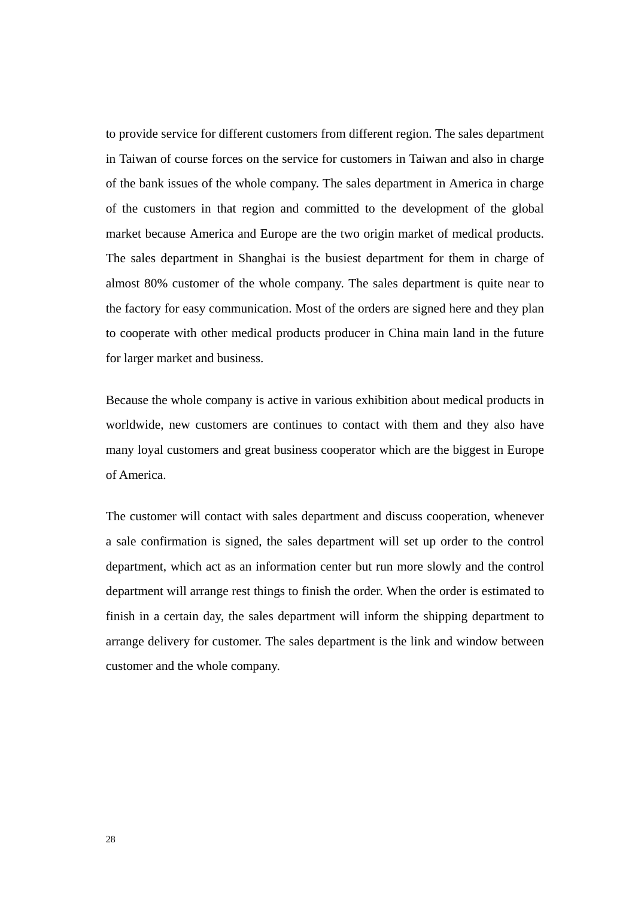to provide service for different customers from different region. The sales department in Taiwan of course forces on the service for customers in Taiwan and also in charge of the bank issues of the whole company. The sales department in America in charge of the customers in that region and committed to the development of the global market because America and Europe are the two origin market of medical products. The sales department in Shanghai is the busiest department for them in charge of almost 80% customer of the whole company. The sales department is quite near to the factory for easy communication. Most of the orders are signed here and they plan to cooperate with other medical products producer in China main land in the future for larger market and business.

Because the whole company is active in various exhibition about medical products in worldwide, new customers are continues to contact with them and they also have many loyal customers and great business cooperator which are the biggest in Europe of America.

The customer will contact with sales department and discuss cooperation, whenever a sale confirmation is signed, the sales department will set up order to the control department, which act as an information center but run more slowly and the control department will arrange rest things to finish the order. When the order is estimated to finish in a certain day, the sales department will inform the shipping department to arrange delivery for customer. The sales department is the link and window between customer and the whole company.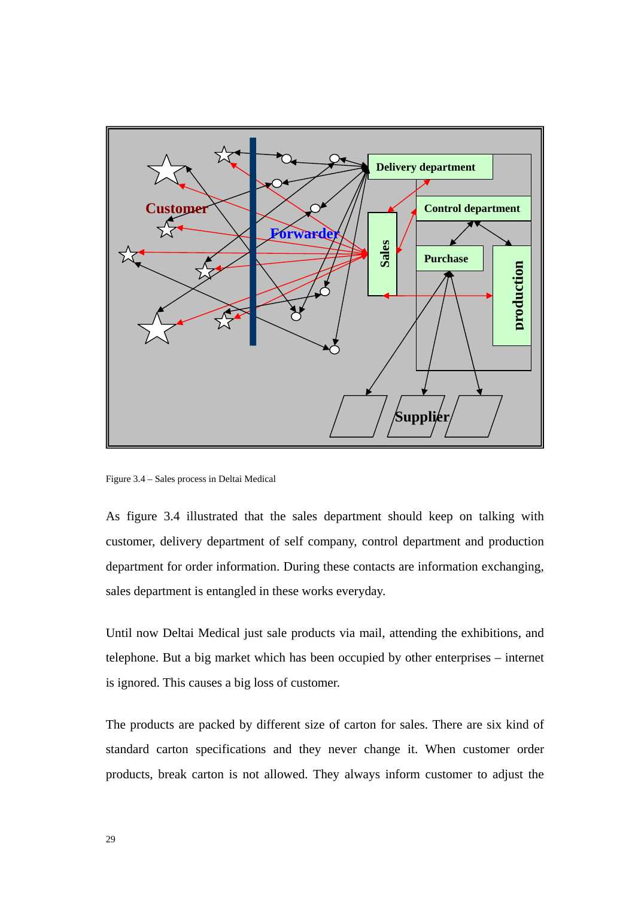

Figure 3.4 – Sales process in Deltai Medical

As figure 3.4 illustrated that the sales department should keep on talking with customer, delivery department of self company, control department and production department for order information. During these contacts are information exchanging, sales department is entangled in these works everyday.

Until now Deltai Medical just sale products via mail, attending the exhibitions, and telephone. But a big market which has been occupied by other enterprises – internet is ignored. This causes a big loss of customer.

The products are packed by different size of carton for sales. There are six kind of standard carton specifications and they never change it. When customer order products, break carton is not allowed. They always inform customer to adjust the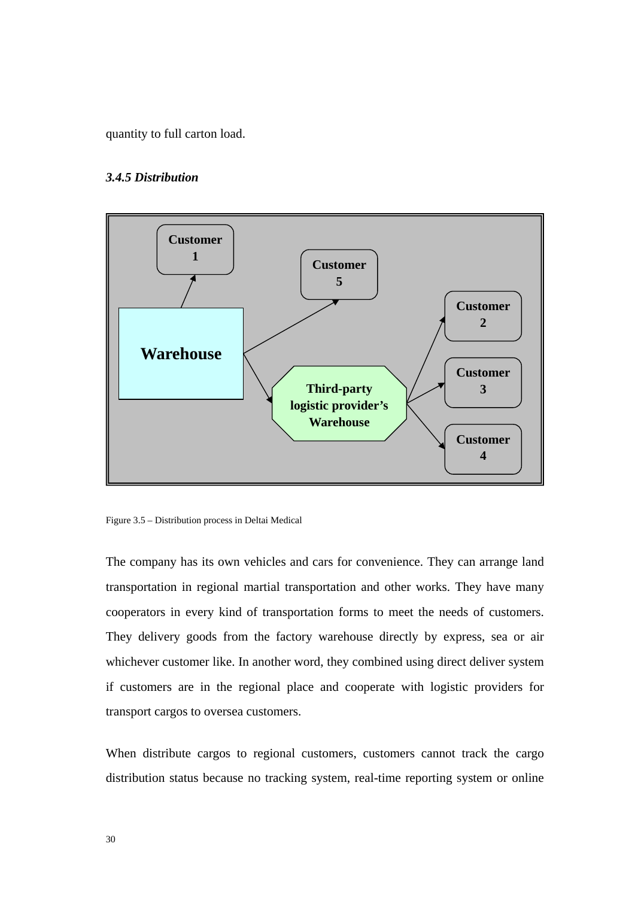quantity to full carton load.

# *3.4.5 Distribution*



Figure 3.5 – Distribution process in Deltai Medical

The company has its own vehicles and cars for convenience. They can arrange land transportation in regional martial transportation and other works. They have many cooperators in every kind of transportation forms to meet the needs of customers. They delivery goods from the factory warehouse directly by express, sea or air whichever customer like. In another word, they combined using direct deliver system if customers are in the regional place and cooperate with logistic providers for transport cargos to oversea customers.

When distribute cargos to regional customers, customers cannot track the cargo distribution status because no tracking system, real-time reporting system or online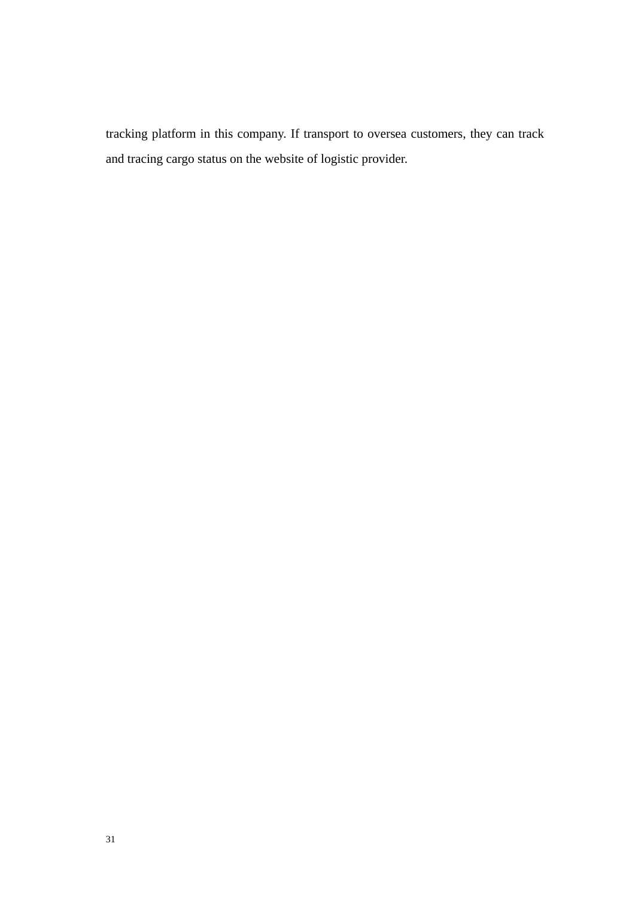tracking platform in this company. If transport to oversea customers, they can track and tracing cargo status on the website of logistic provider.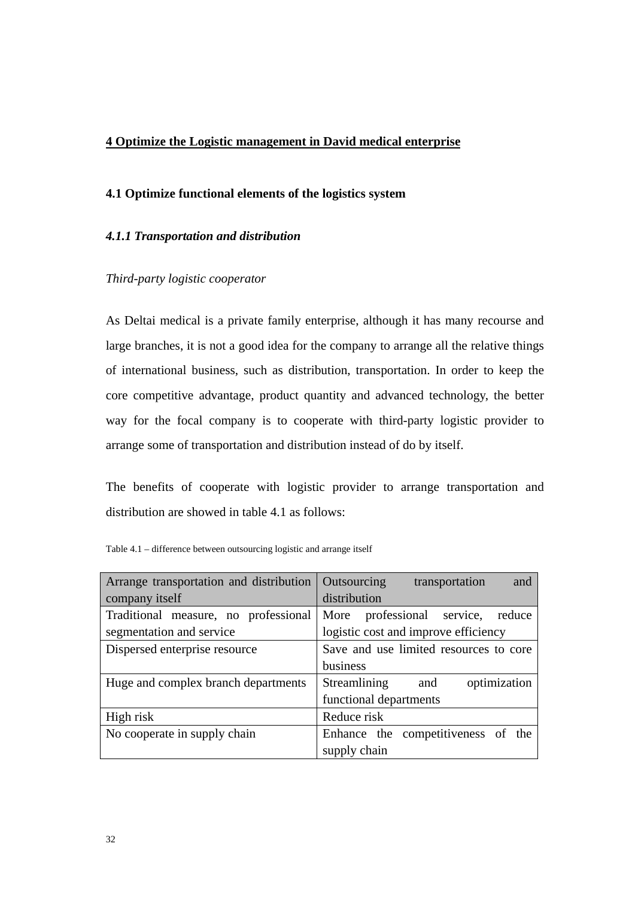# **4 Optimize the Logistic management in David medical enterprise**

# **4.1 Optimize functional elements of the logistics system**

# *4.1.1 Transportation and distribution*

# *Third-party logistic cooperator*

As Deltai medical is a private family enterprise, although it has many recourse and large branches, it is not a good idea for the company to arrange all the relative things of international business, such as distribution, transportation. In order to keep the core competitive advantage, product quantity and advanced technology, the better way for the focal company is to cooperate with third-party logistic provider to arrange some of transportation and distribution instead of do by itself.

The benefits of cooperate with logistic provider to arrange transportation and distribution are showed in table 4.1 as follows:

| Arrange transportation and distribution | Outsourcing<br>transportation<br>and   |  |  |
|-----------------------------------------|----------------------------------------|--|--|
| company itself                          | distribution                           |  |  |
| Traditional measure, no professional    | More professional service,<br>reduce   |  |  |
| segmentation and service                | logistic cost and improve efficiency   |  |  |
| Dispersed enterprise resource           | Save and use limited resources to core |  |  |
|                                         | business                               |  |  |
| Huge and complex branch departments     | Streamlining<br>optimization<br>and    |  |  |
|                                         | functional departments                 |  |  |
| High risk                               | Reduce risk                            |  |  |
| No cooperate in supply chain            | Enhance the competitiveness of the     |  |  |
|                                         | supply chain                           |  |  |

Table 4.1 – difference between outsourcing logistic and arrange itself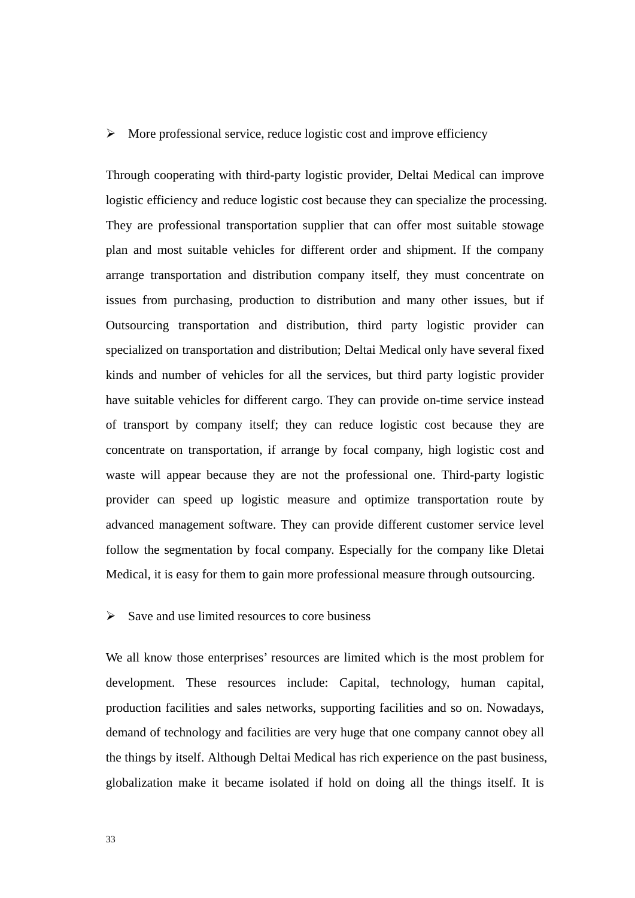### $\triangleright$  More professional service, reduce logistic cost and improve efficiency

Through cooperating with third-party logistic provider, Deltai Medical can improve logistic efficiency and reduce logistic cost because they can specialize the processing. They are professional transportation supplier that can offer most suitable stowage plan and most suitable vehicles for different order and shipment. If the company arrange transportation and distribution company itself, they must concentrate on issues from purchasing, production to distribution and many other issues, but if Outsourcing transportation and distribution, third party logistic provider can specialized on transportation and distribution; Deltai Medical only have several fixed kinds and number of vehicles for all the services, but third party logistic provider have suitable vehicles for different cargo. They can provide on-time service instead of transport by company itself; they can reduce logistic cost because they are concentrate on transportation, if arrange by focal company, high logistic cost and waste will appear because they are not the professional one. Third-party logistic provider can speed up logistic measure and optimize transportation route by advanced management software. They can provide different customer service level follow the segmentation by focal company. Especially for the company like Dletai Medical, it is easy for them to gain more professional measure through outsourcing.

## $\triangleright$  Save and use limited resources to core business

We all know those enterprises' resources are limited which is the most problem for development. These resources include: Capital, technology, human capital, production facilities and sales networks, supporting facilities and so on. Nowadays, demand of technology and facilities are very huge that one company cannot obey all the things by itself. Although Deltai Medical has rich experience on the past business, globalization make it became isolated if hold on doing all the things itself. It is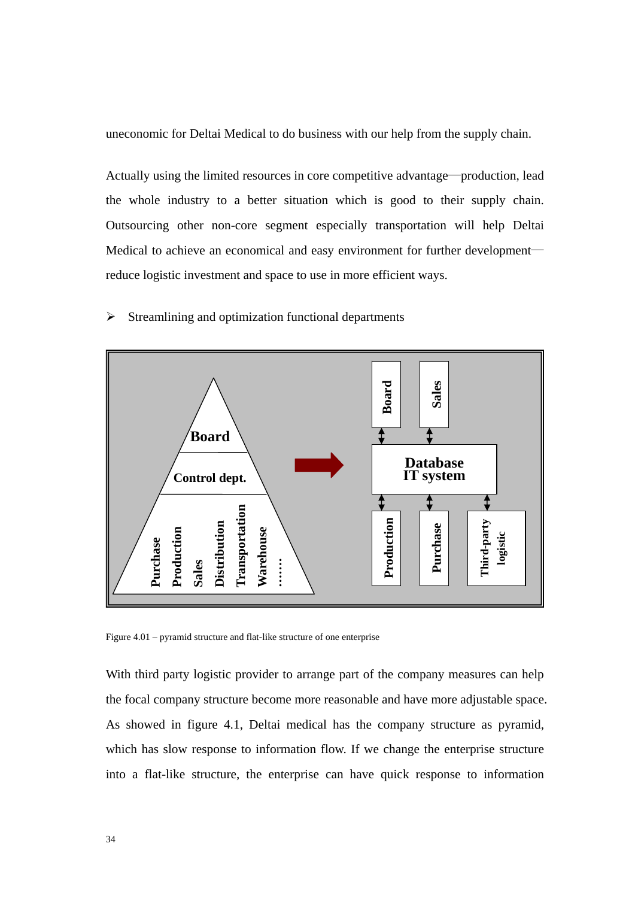uneconomic for Deltai Medical to do business with our help from the supply chain.

Actually using the limited resources in core competitive advantage—production, lead the whole industry to a better situation which is good to their supply chain. Outsourcing other non-core segment especially transportation will help Deltai Medical to achieve an economical and easy environment for further development reduce logistic investment and space to use in more efficient ways.

### $\triangleright$  Streamlining and optimization functional departments



Figure 4.01 – pyramid structure and flat-like structure of one enterprise

With third party logistic provider to arrange part of the company measures can help the focal company structure become more reasonable and have more adjustable space. As showed in figure 4.1, Deltai medical has the company structure as pyramid, which has slow response to information flow. If we change the enterprise structure into a flat-like structure, the enterprise can have quick response to information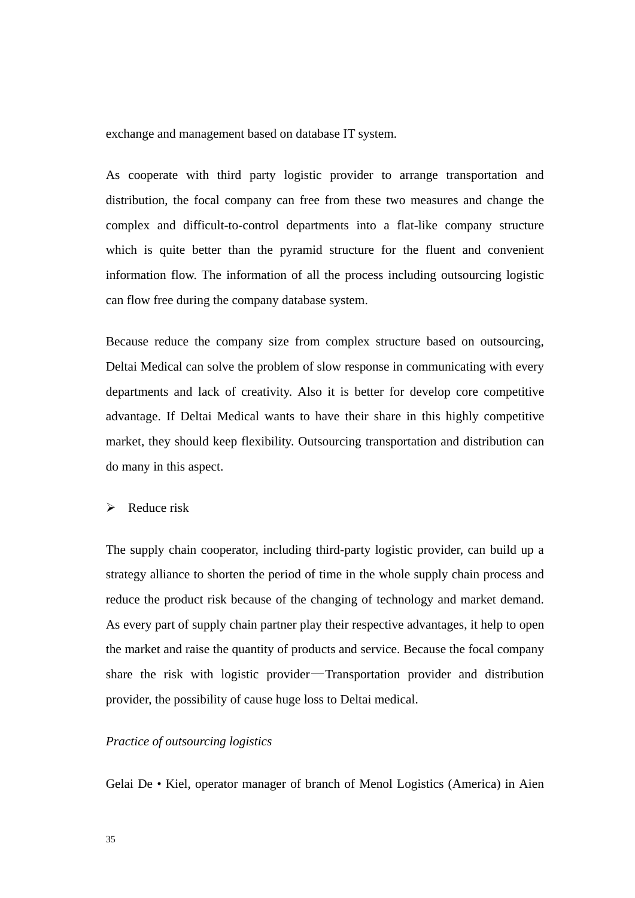exchange and management based on database IT system.

As cooperate with third party logistic provider to arrange transportation and distribution, the focal company can free from these two measures and change the complex and difficult-to-control departments into a flat-like company structure which is quite better than the pyramid structure for the fluent and convenient information flow. The information of all the process including outsourcing logistic can flow free during the company database system.

Because reduce the company size from complex structure based on outsourcing, Deltai Medical can solve the problem of slow response in communicating with every departments and lack of creativity. Also it is better for develop core competitive advantage. If Deltai Medical wants to have their share in this highly competitive market, they should keep flexibility. Outsourcing transportation and distribution can do many in this aspect.

# $\triangleright$  Reduce risk

The supply chain cooperator, including third-party logistic provider, can build up a strategy alliance to shorten the period of time in the whole supply chain process and reduce the product risk because of the changing of technology and market demand. As every part of supply chain partner play their respective advantages, it help to open the market and raise the quantity of products and service. Because the focal company share the risk with logistic provider—Transportation provider and distribution provider, the possibility of cause huge loss to Deltai medical.

## *Practice of outsourcing logistics*

Gelai De • Kiel, operator manager of branch of Menol Logistics (America) in Aien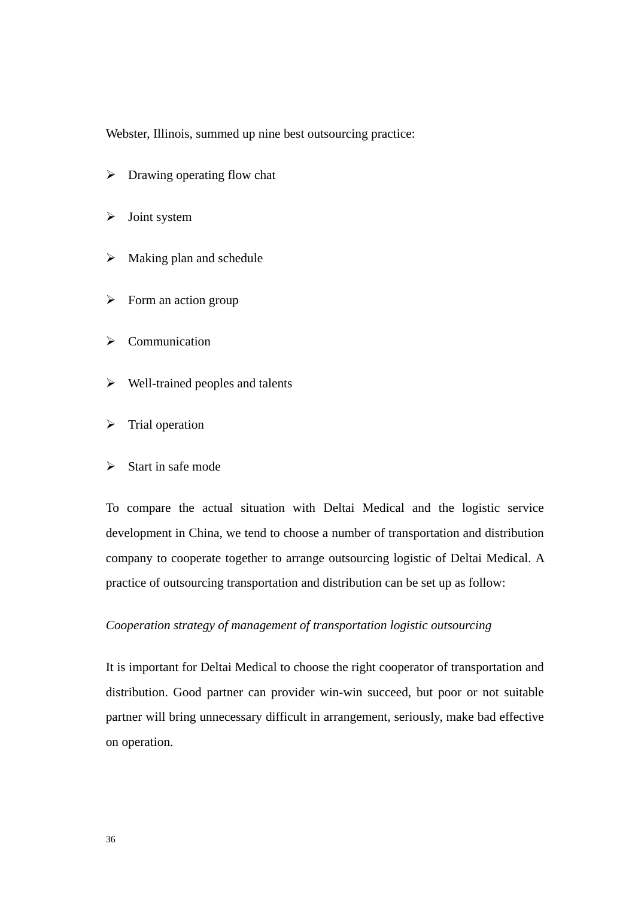Webster, Illinois, summed up nine best outsourcing practice:

- $\triangleright$  Drawing operating flow chat
- $\triangleright$  Joint system
- $\triangleright$  Making plan and schedule
- $\triangleright$  Form an action group
- $\triangleright$  Communication
- $\triangleright$  Well-trained peoples and talents
- $\triangleright$  Trial operation
- $\triangleright$  Start in safe mode

To compare the actual situation with Deltai Medical and the logistic service development in China, we tend to choose a number of transportation and distribution company to cooperate together to arrange outsourcing logistic of Deltai Medical. A practice of outsourcing transportation and distribution can be set up as follow:

## *Cooperation strategy of management of transportation logistic outsourcing*

It is important for Deltai Medical to choose the right cooperator of transportation and distribution. Good partner can provider win-win succeed, but poor or not suitable partner will bring unnecessary difficult in arrangement, seriously, make bad effective on operation.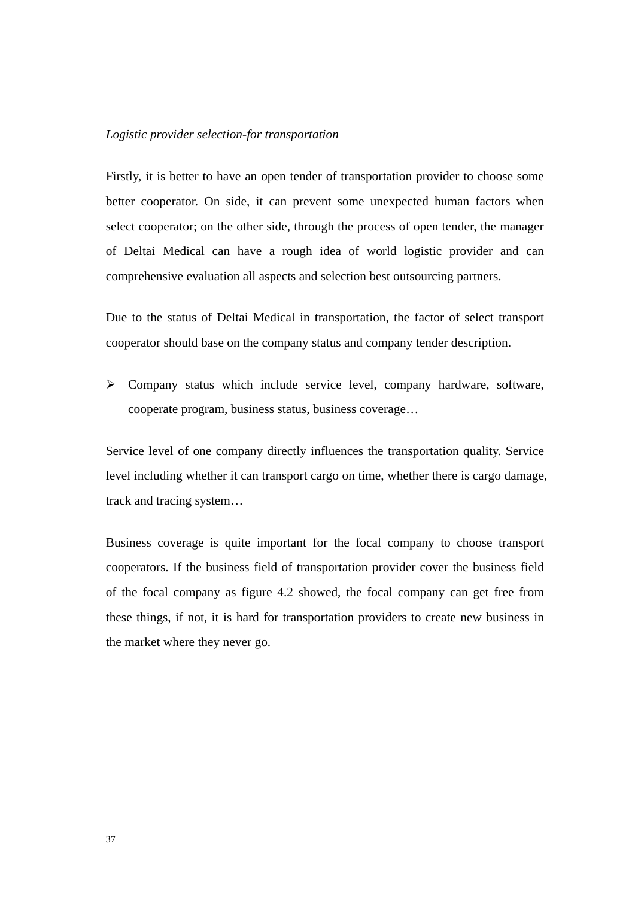### *Logistic provider selection-for transportation*

Firstly, it is better to have an open tender of transportation provider to choose some better cooperator. On side, it can prevent some unexpected human factors when select cooperator; on the other side, through the process of open tender, the manager of Deltai Medical can have a rough idea of world logistic provider and can comprehensive evaluation all aspects and selection best outsourcing partners.

Due to the status of Deltai Medical in transportation, the factor of select transport cooperator should base on the company status and company tender description.

¾ Company status which include service level, company hardware, software, cooperate program, business status, business coverage…

Service level of one company directly influences the transportation quality. Service level including whether it can transport cargo on time, whether there is cargo damage, track and tracing system…

Business coverage is quite important for the focal company to choose transport cooperators. If the business field of transportation provider cover the business field of the focal company as figure 4.2 showed, the focal company can get free from these things, if not, it is hard for transportation providers to create new business in the market where they never go.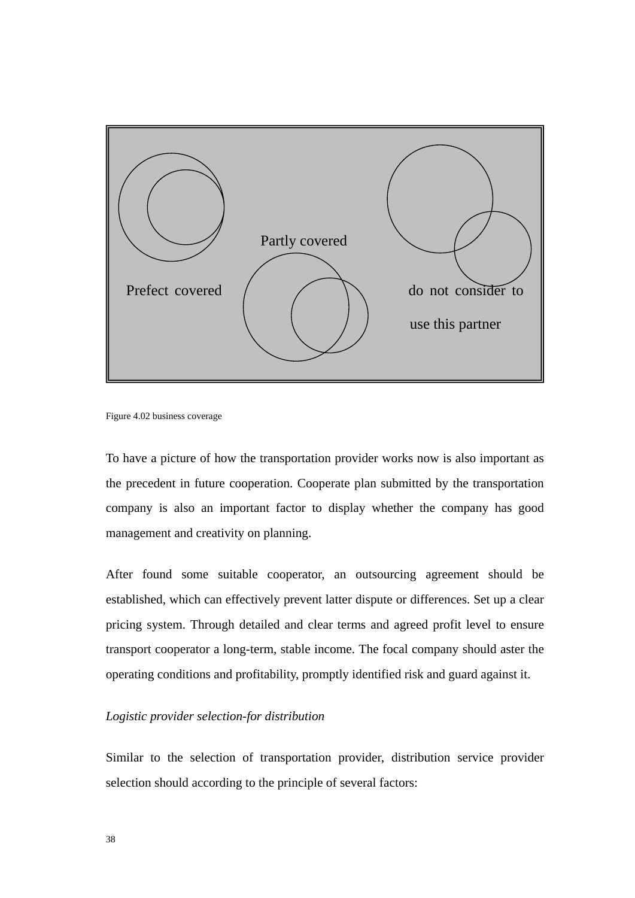

Figure 4.02 business coverage

To have a picture of how the transportation provider works now is also important as the precedent in future cooperation. Cooperate plan submitted by the transportation company is also an important factor to display whether the company has good management and creativity on planning.

After found some suitable cooperator, an outsourcing agreement should be established, which can effectively prevent latter dispute or differences. Set up a clear pricing system. Through detailed and clear terms and agreed profit level to ensure transport cooperator a long-term, stable income. The focal company should aster the operating conditions and profitability, promptly identified risk and guard against it.

# *Logistic provider selection-for distribution*

Similar to the selection of transportation provider, distribution service provider selection should according to the principle of several factors: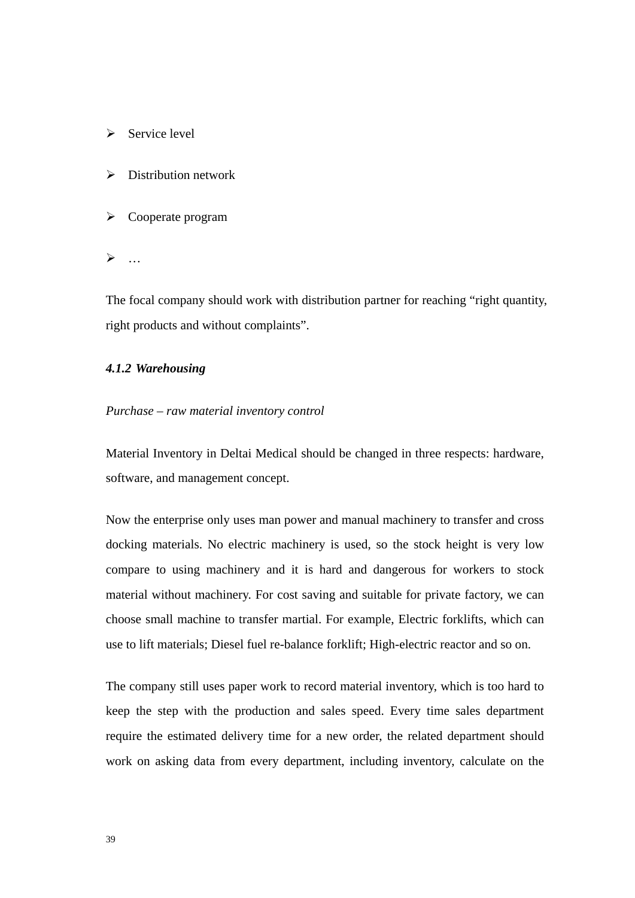- $\triangleright$  Service level
- $\triangleright$  Distribution network
- $\triangleright$  Cooperate program
- $\triangleright$  ...

The focal company should work with distribution partner for reaching "right quantity, right products and without complaints".

## *4.1.2 Warehousing*

### *Purchase – raw material inventory control*

Material Inventory in Deltai Medical should be changed in three respects: hardware, software, and management concept.

Now the enterprise only uses man power and manual machinery to transfer and cross docking materials. No electric machinery is used, so the stock height is very low compare to using machinery and it is hard and dangerous for workers to stock material without machinery. For cost saving and suitable for private factory, we can choose small machine to transfer martial. For example, Electric forklifts, which can use to lift materials; Diesel fuel re-balance forklift; High-electric reactor and so on.

The company still uses paper work to record material inventory, which is too hard to keep the step with the production and sales speed. Every time sales department require the estimated delivery time for a new order, the related department should work on asking data from every department, including inventory, calculate on the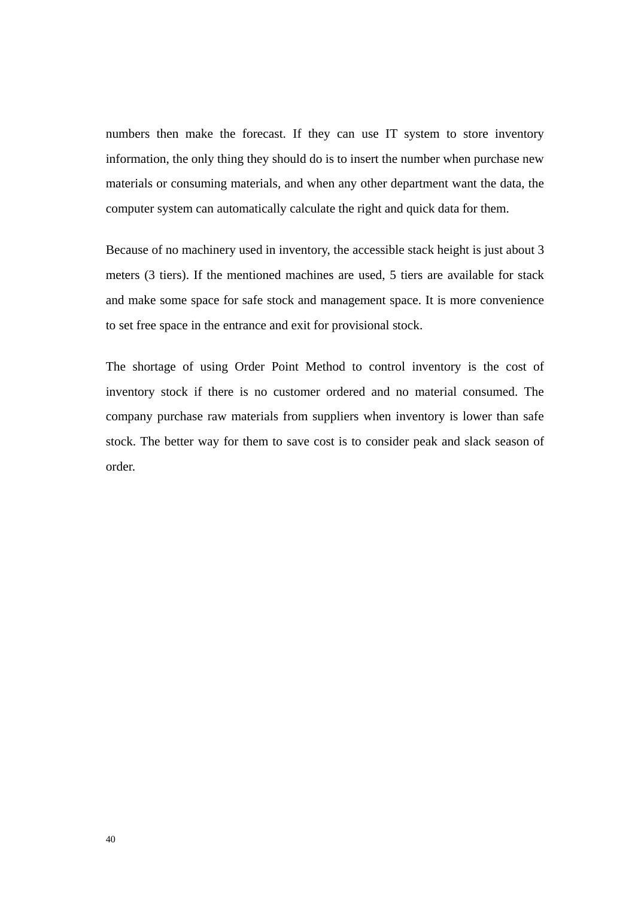numbers then make the forecast. If they can use IT system to store inventory information, the only thing they should do is to insert the number when purchase new materials or consuming materials, and when any other department want the data, the computer system can automatically calculate the right and quick data for them.

Because of no machinery used in inventory, the accessible stack height is just about 3 meters (3 tiers). If the mentioned machines are used, 5 tiers are available for stack and make some space for safe stock and management space. It is more convenience to set free space in the entrance and exit for provisional stock.

The shortage of using Order Point Method to control inventory is the cost of inventory stock if there is no customer ordered and no material consumed. The company purchase raw materials from suppliers when inventory is lower than safe stock. The better way for them to save cost is to consider peak and slack season of order.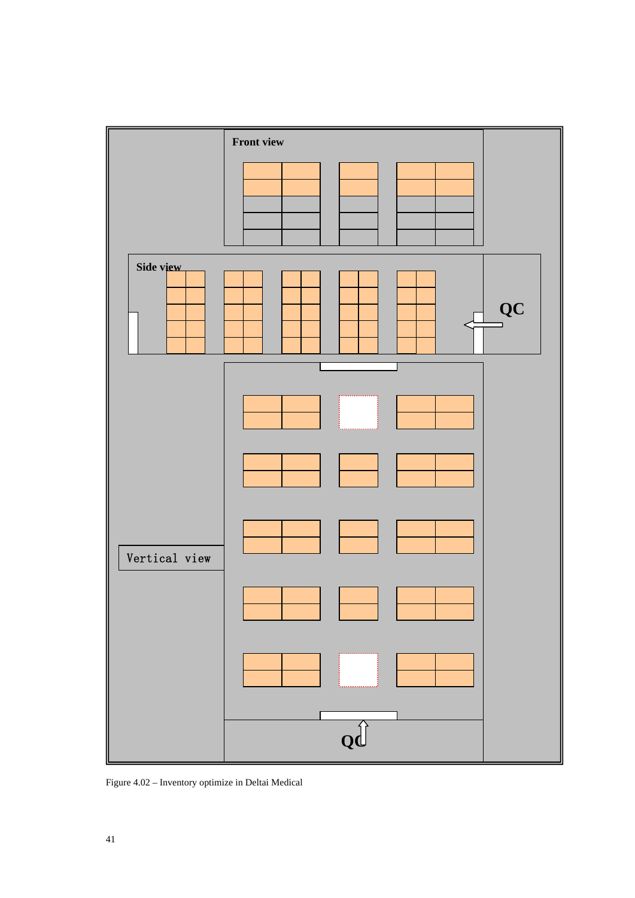

Figure 4.02 – Inventory optimize in Deltai Medical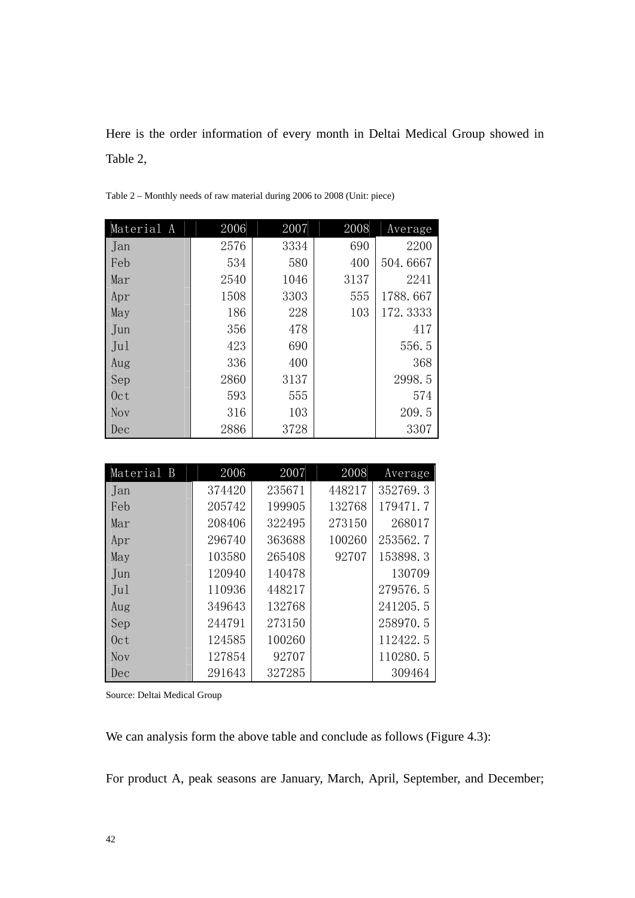Here is the order information of every month in Deltai Medical Group showed in Table 2,

| Material A | 2006 | 2007 | 2008 | Average  |
|------------|------|------|------|----------|
| Jan        | 2576 | 3334 | 690  | 2200     |
| Feb        | 534  | 580  | 400  | 504.6667 |
| Mar        | 2540 | 1046 | 3137 | 2241     |
| Apr        | 1508 | 3303 | 555  | 1788.667 |
| May        | 186  | 228  | 103  | 172.3333 |
| Jun        | 356  | 478  |      | 417      |
| Jul        | 423  | 690  |      | 556.5    |
| Aug        | 336  | 400  |      | 368      |
| Sep        | 2860 | 3137 |      | 2998.5   |
| 0ct        | 593  | 555  |      | 574      |
| <b>Nov</b> | 316  | 103  |      | 209.5    |
| Dec        | 2886 | 3728 |      | 3307     |

Table 2 – Monthly needs of raw material during 2006 to 2008 (Unit: piece)

| Material B | 2006   | 2007   | 2008   | Average  |
|------------|--------|--------|--------|----------|
| Jan        | 374420 | 235671 | 448217 | 352769.3 |
| Feb        | 205742 | 199905 | 132768 | 179471.7 |
| Mar        | 208406 | 322495 | 273150 | 268017   |
| Apr        | 296740 | 363688 | 100260 | 253562.7 |
| May        | 103580 | 265408 | 92707  | 153898.3 |
| Jun        | 120940 | 140478 |        | 130709   |
| Ju1        | 110936 | 448217 |        | 279576.5 |
| Aug        | 349643 | 132768 |        | 241205.5 |
| Sep        | 244791 | 273150 |        | 258970.5 |
| 0ct        | 124585 | 100260 |        | 112422.5 |
| Nov        | 127854 | 92707  |        | 110280.5 |
| Dec        | 291643 | 327285 |        | 309464   |

Source: Deltai Medical Group

We can analysis form the above table and conclude as follows (Figure 4.3):

For product A, peak seasons are January, March, April, September, and December;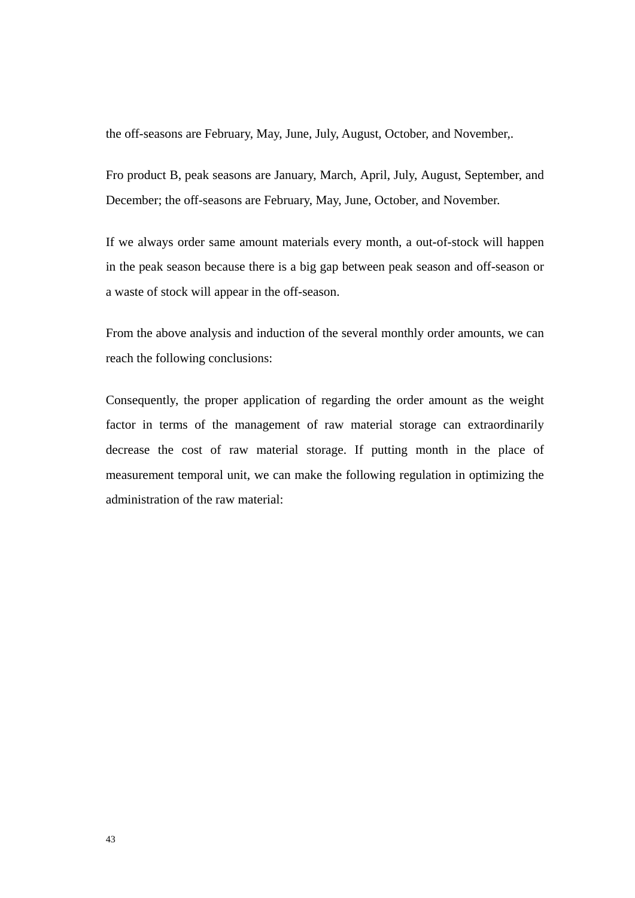the off-seasons are February, May, June, July, August, October, and November,.

Fro product B, peak seasons are January, March, April, July, August, September, and December; the off-seasons are February, May, June, October, and November.

If we always order same amount materials every month, a out-of-stock will happen in the peak season because there is a big gap between peak season and off-season or a waste of stock will appear in the off-season.

From the above analysis and induction of the several monthly order amounts, we can reach the following conclusions:

Consequently, the proper application of regarding the order amount as the weight factor in terms of the management of raw material storage can extraordinarily decrease the cost of raw material storage. If putting month in the place of measurement temporal unit, we can make the following regulation in optimizing the administration of the raw material: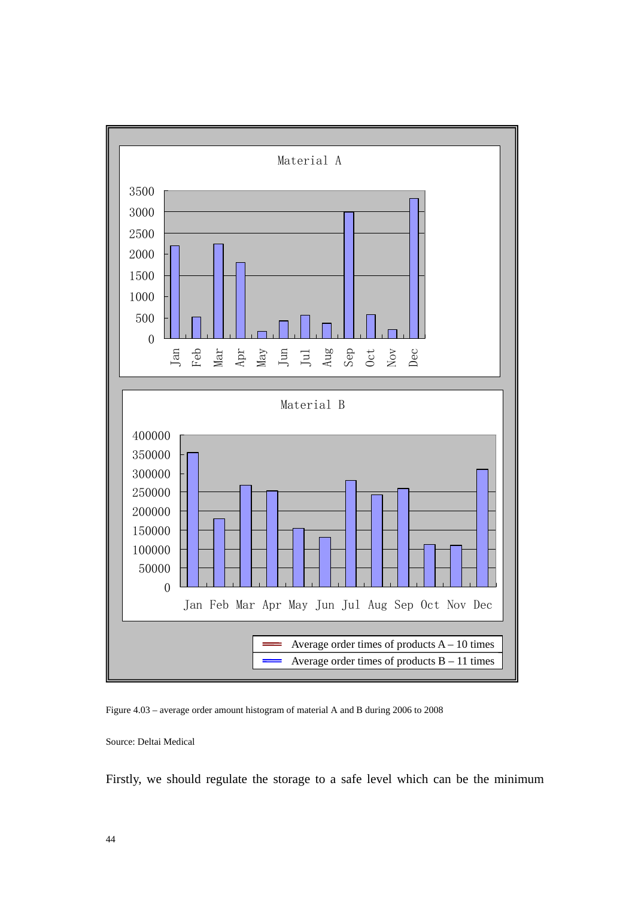

Figure 4.03 – average order amount histogram of material A and B during 2006 to 2008

Source: Deltai Medical

Firstly, we should regulate the storage to a safe level which can be the minimum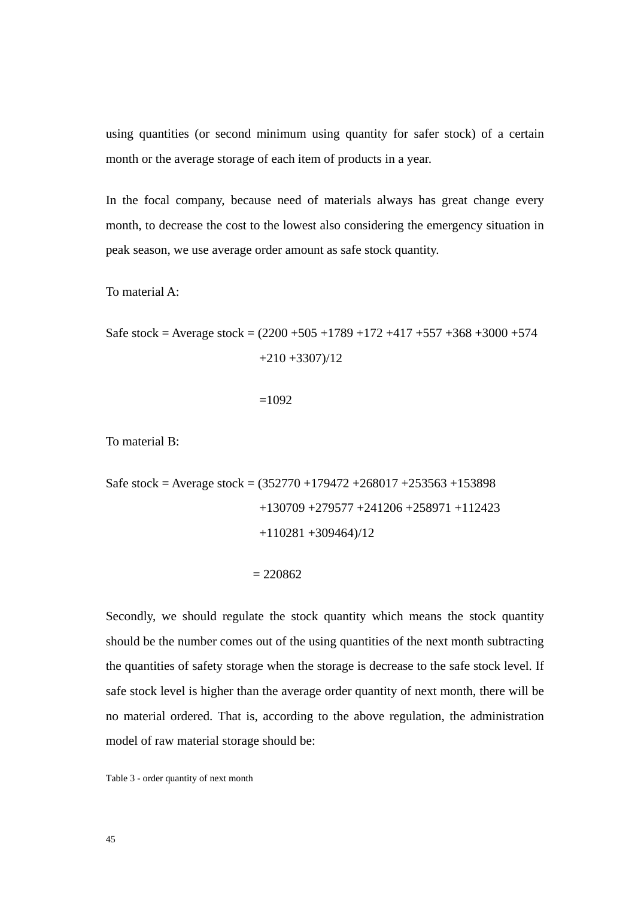using quantities (or second minimum using quantity for safer stock) of a certain month or the average storage of each item of products in a year.

In the focal company, because need of materials always has great change every month, to decrease the cost to the lowest also considering the emergency situation in peak season, we use average order amount as safe stock quantity.

To material A:

Safe stock = Average stock = 
$$
(2200 + 505 + 1789 + 172 + 417 + 557 + 368 + 3000 + 574 + 210 + 3307)/12
$$

 $=1092$ 

To material B:

Safe stock = Average stock = 
$$
(352770 + 179472 + 268017 + 253563 + 153898 + 130709 + 279577 + 241206 + 258971 + 112423 + 110281 + 309464)/12
$$

### $= 220862$

Secondly, we should regulate the stock quantity which means the stock quantity should be the number comes out of the using quantities of the next month subtracting the quantities of safety storage when the storage is decrease to the safe stock level. If safe stock level is higher than the average order quantity of next month, there will be no material ordered. That is, according to the above regulation, the administration model of raw material storage should be:

Table 3 - order quantity of next month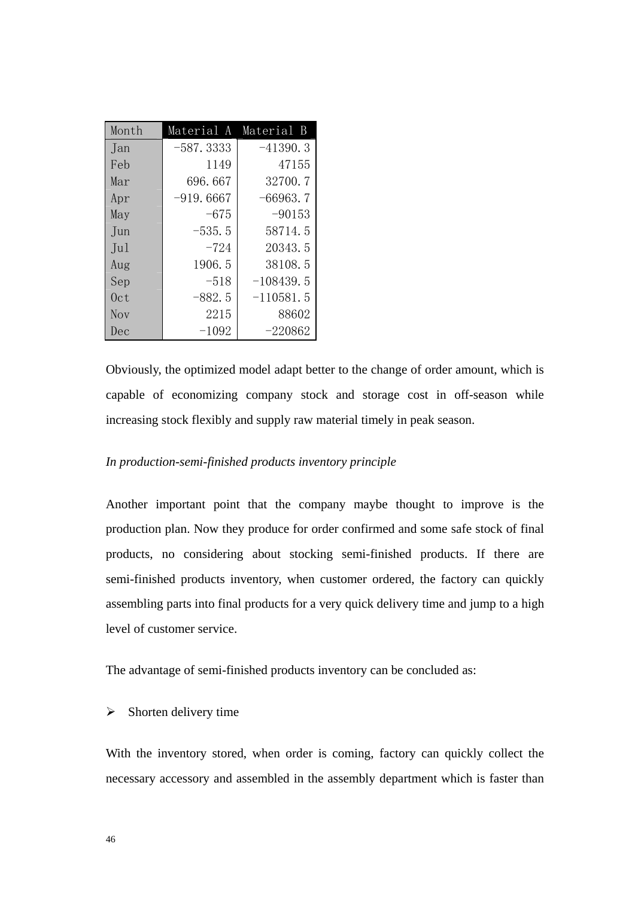| Month      | Material A  | Material B  |
|------------|-------------|-------------|
| Jan        | $-587.3333$ | $-41390.3$  |
| Feb        | 1149        | 47155       |
| Mar        | 696.667     | 32700.7     |
| Apr        | $-919.6667$ | $-66963.7$  |
| May        | -675        | $-90153$    |
| Jun        | $-535.5$    | 58714.5     |
| Ju1        | $-724$      | 20343.5     |
| Aug        | 1906.5      | 38108.5     |
| Sep        | $-518$      | $-108439.5$ |
| 0ct        | $-882.5$    | $-110581.5$ |
| <b>Nov</b> | 2215        | 88602       |
| Dec        | $-1092$     | $-220862$   |

Obviously, the optimized model adapt better to the change of order amount, which is capable of economizing company stock and storage cost in off-season while increasing stock flexibly and supply raw material timely in peak season.

# *In production-semi-finished products inventory principle*

Another important point that the company maybe thought to improve is the production plan. Now they produce for order confirmed and some safe stock of final products, no considering about stocking semi-finished products. If there are semi-finished products inventory, when customer ordered, the factory can quickly assembling parts into final products for a very quick delivery time and jump to a high level of customer service.

The advantage of semi-finished products inventory can be concluded as:

# $\triangleright$  Shorten delivery time

With the inventory stored, when order is coming, factory can quickly collect the necessary accessory and assembled in the assembly department which is faster than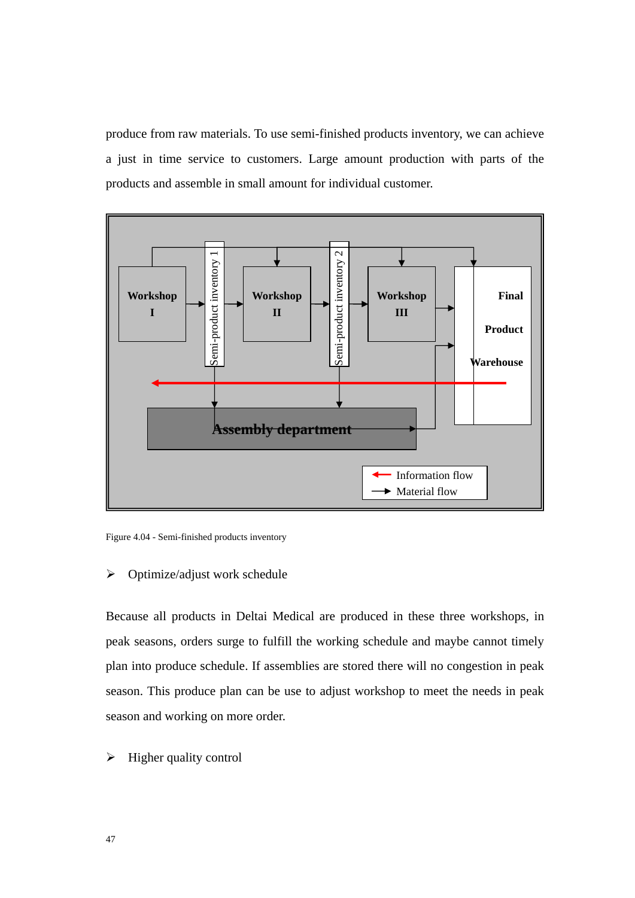produce from raw materials. To use semi-finished products inventory, we can achieve a just in time service to customers. Large amount production with parts of the products and assemble in small amount for individual customer.



Figure 4.04 - Semi-finished products inventory

## $\triangleright$  Optimize/adjust work schedule

Because all products in Deltai Medical are produced in these three workshops, in peak seasons, orders surge to fulfill the working schedule and maybe cannot timely plan into produce schedule. If assemblies are stored there will no congestion in peak season. This produce plan can be use to adjust workshop to meet the needs in peak season and working on more order.

 $\triangleright$  Higher quality control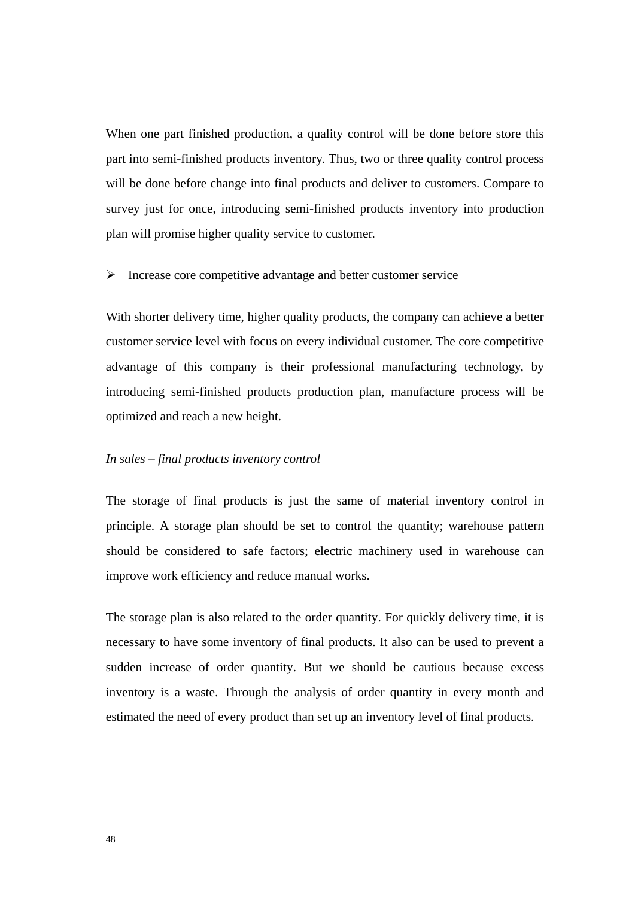When one part finished production, a quality control will be done before store this part into semi-finished products inventory. Thus, two or three quality control process will be done before change into final products and deliver to customers. Compare to survey just for once, introducing semi-finished products inventory into production plan will promise higher quality service to customer.

### $\triangleright$  Increase core competitive advantage and better customer service

With shorter delivery time, higher quality products, the company can achieve a better customer service level with focus on every individual customer. The core competitive advantage of this company is their professional manufacturing technology, by introducing semi-finished products production plan, manufacture process will be optimized and reach a new height.

### *In sales – final products inventory control*

The storage of final products is just the same of material inventory control in principle. A storage plan should be set to control the quantity; warehouse pattern should be considered to safe factors; electric machinery used in warehouse can improve work efficiency and reduce manual works.

The storage plan is also related to the order quantity. For quickly delivery time, it is necessary to have some inventory of final products. It also can be used to prevent a sudden increase of order quantity. But we should be cautious because excess inventory is a waste. Through the analysis of order quantity in every month and estimated the need of every product than set up an inventory level of final products.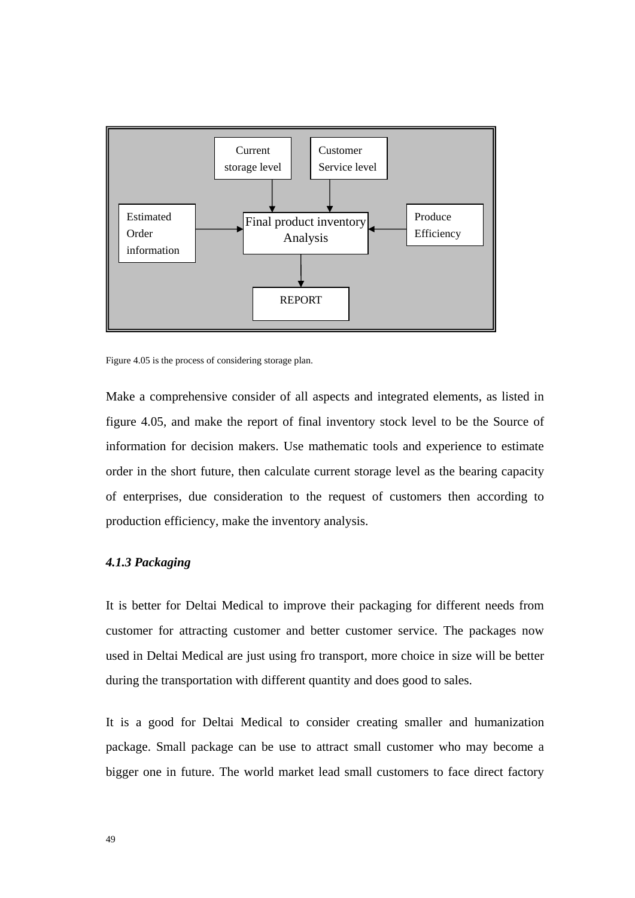

Figure 4.05 is the process of considering storage plan.

Make a comprehensive consider of all aspects and integrated elements, as listed in figure 4.05, and make the report of final inventory stock level to be the Source of information for decision makers. Use mathematic tools and experience to estimate order in the short future, then calculate current storage level as the bearing capacity of enterprises, due consideration to the request of customers then according to production efficiency, make the inventory analysis.

# *4.1.3 Packaging*

It is better for Deltai Medical to improve their packaging for different needs from customer for attracting customer and better customer service. The packages now used in Deltai Medical are just using fro transport, more choice in size will be better during the transportation with different quantity and does good to sales.

It is a good for Deltai Medical to consider creating smaller and humanization package. Small package can be use to attract small customer who may become a bigger one in future. The world market lead small customers to face direct factory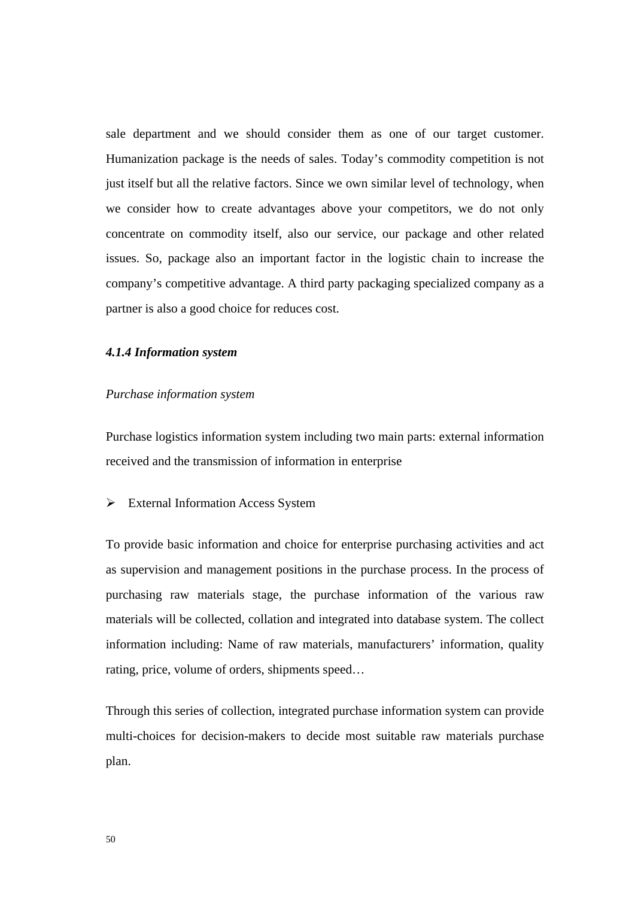sale department and we should consider them as one of our target customer. Humanization package is the needs of sales. Today's commodity competition is not just itself but all the relative factors. Since we own similar level of technology, when we consider how to create advantages above your competitors, we do not only concentrate on commodity itself, also our service, our package and other related issues. So, package also an important factor in the logistic chain to increase the company's competitive advantage. A third party packaging specialized company as a partner is also a good choice for reduces cost.

## *4.1.4 Information system*

### *Purchase information system*

Purchase logistics information system including two main parts: external information received and the transmission of information in enterprise

#### $\triangleright$  External Information Access System

To provide basic information and choice for enterprise purchasing activities and act as supervision and management positions in the purchase process. In the process of purchasing raw materials stage, the purchase information of the various raw materials will be collected, collation and integrated into database system. The collect information including: Name of raw materials, manufacturers' information, quality rating, price, volume of orders, shipments speed…

Through this series of collection, integrated purchase information system can provide multi-choices for decision-makers to decide most suitable raw materials purchase plan.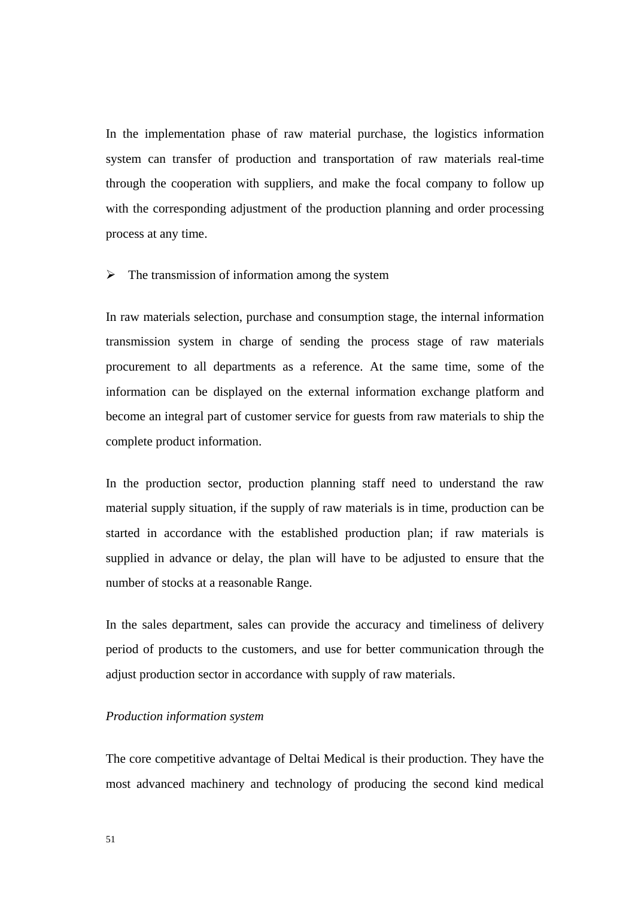In the implementation phase of raw material purchase, the logistics information system can transfer of production and transportation of raw materials real-time through the cooperation with suppliers, and make the focal company to follow up with the corresponding adjustment of the production planning and order processing process at any time.

### $\triangleright$  The transmission of information among the system

In raw materials selection, purchase and consumption stage, the internal information transmission system in charge of sending the process stage of raw materials procurement to all departments as a reference. At the same time, some of the information can be displayed on the external information exchange platform and become an integral part of customer service for guests from raw materials to ship the complete product information.

In the production sector, production planning staff need to understand the raw material supply situation, if the supply of raw materials is in time, production can be started in accordance with the established production plan; if raw materials is supplied in advance or delay, the plan will have to be adjusted to ensure that the number of stocks at a reasonable Range.

In the sales department, sales can provide the accuracy and timeliness of delivery period of products to the customers, and use for better communication through the adjust production sector in accordance with supply of raw materials.

## *Production information system*

The core competitive advantage of Deltai Medical is their production. They have the most advanced machinery and technology of producing the second kind medical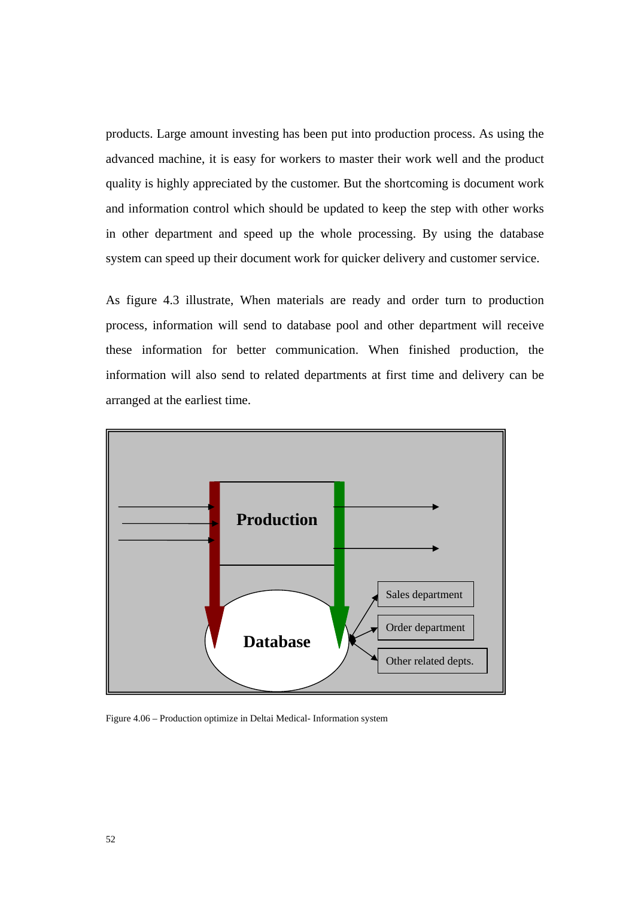products. Large amount investing has been put into production process. As using the advanced machine, it is easy for workers to master their work well and the product quality is highly appreciated by the customer. But the shortcoming is document work and information control which should be updated to keep the step with other works in other department and speed up the whole processing. By using the database system can speed up their document work for quicker delivery and customer service.

As figure 4.3 illustrate, When materials are ready and order turn to production process, information will send to database pool and other department will receive these information for better communication. When finished production, the information will also send to related departments at first time and delivery can be arranged at the earliest time.



Figure 4.06 – Production optimize in Deltai Medical- Information system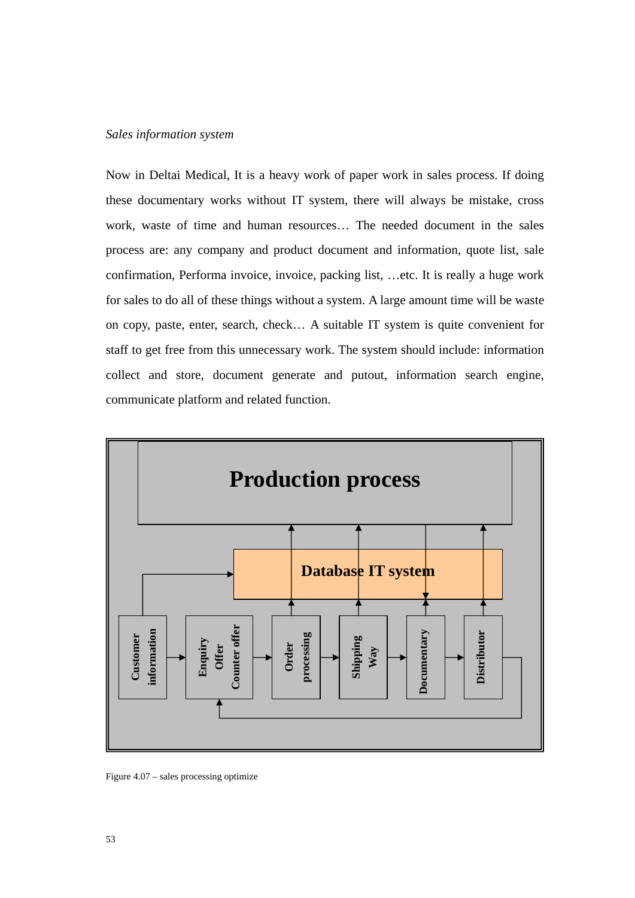### *Sales information system*

Now in Deltai Medical, It is a heavy work of paper work in sales process. If doing these documentary works without IT system, there will always be mistake, cross work, waste of time and human resources… The needed document in the sales process are: any company and product document and information, quote list, sale confirmation, Performa invoice, invoice, packing list, …etc. It is really a huge work for sales to do all of these things without a system. A large amount time will be waste on copy, paste, enter, search, check… A suitable IT system is quite convenient for staff to get free from this unnecessary work. The system should include: information collect and store, document generate and putout, information search engine, communicate platform and related function.



Figure 4.07 – sales processing optimize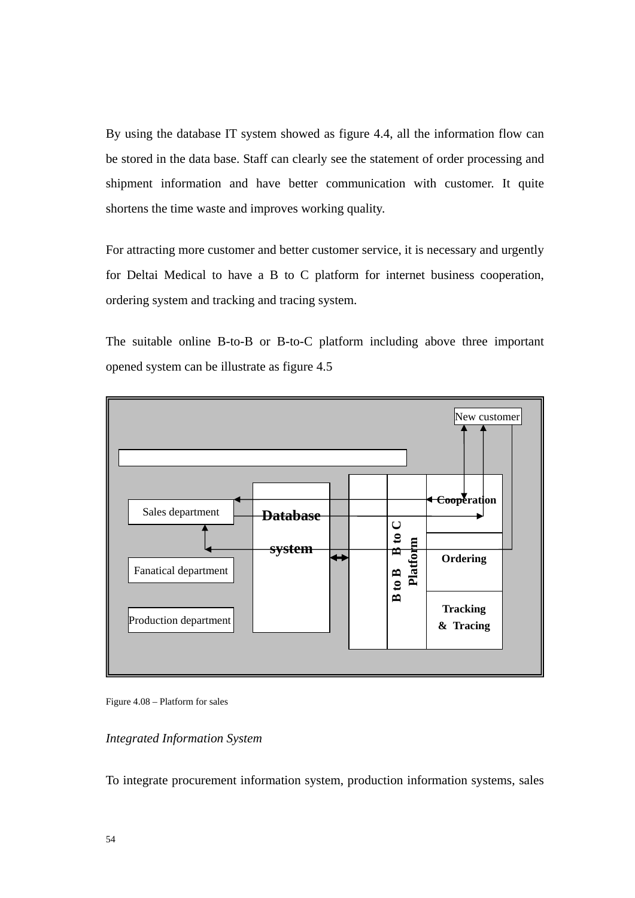By using the database IT system showed as figure 4.4, all the information flow can be stored in the data base. Staff can clearly see the statement of order processing and shipment information and have better communication with customer. It quite shortens the time waste and improves working quality.

For attracting more customer and better customer service, it is necessary and urgently for Deltai Medical to have a B to C platform for internet business cooperation, ordering system and tracking and tracing system.

The suitable online B-to-B or B-to-C platform including above three important opened system can be illustrate as figure 4.5





## *Integrated Information System*

To integrate procurement information system, production information systems, sales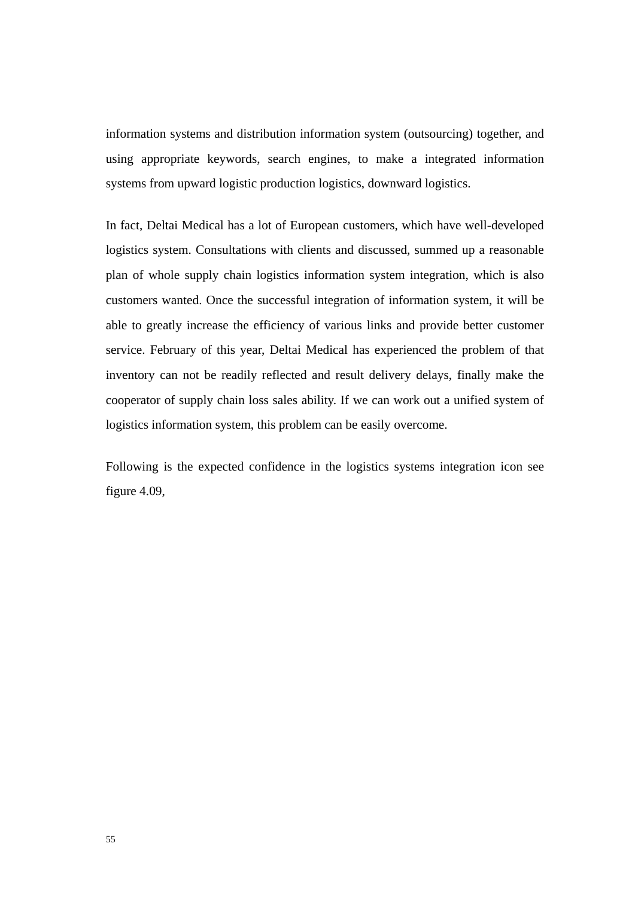information systems and distribution information system (outsourcing) together, and using appropriate keywords, search engines, to make a integrated information systems from upward logistic production logistics, downward logistics.

In fact, Deltai Medical has a lot of European customers, which have well-developed logistics system. Consultations with clients and discussed, summed up a reasonable plan of whole supply chain logistics information system integration, which is also customers wanted. Once the successful integration of information system, it will be able to greatly increase the efficiency of various links and provide better customer service. February of this year, Deltai Medical has experienced the problem of that inventory can not be readily reflected and result delivery delays, finally make the cooperator of supply chain loss sales ability. If we can work out a unified system of logistics information system, this problem can be easily overcome.

Following is the expected confidence in the logistics systems integration icon see figure 4.09,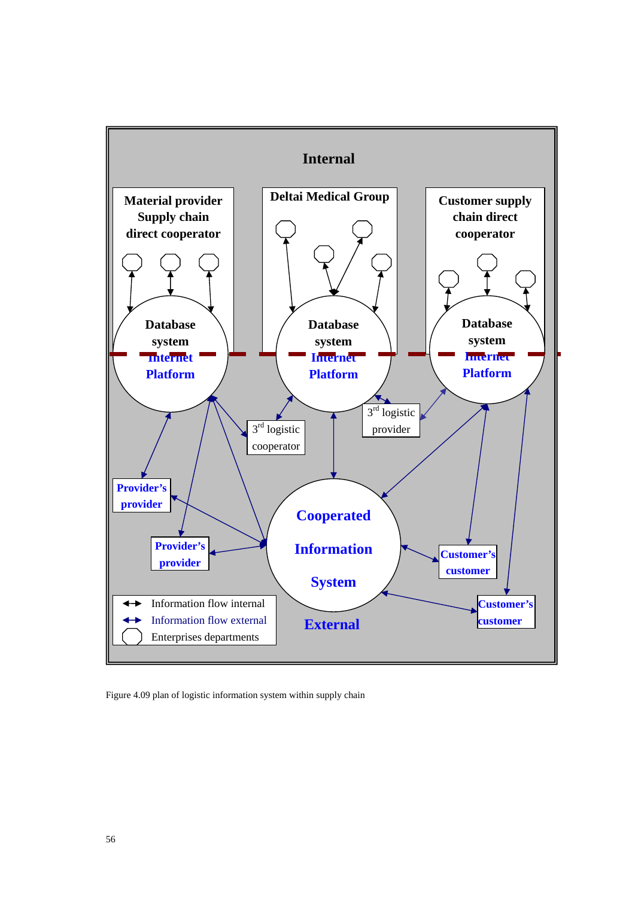

Figure 4.09 plan of logistic information system within supply chain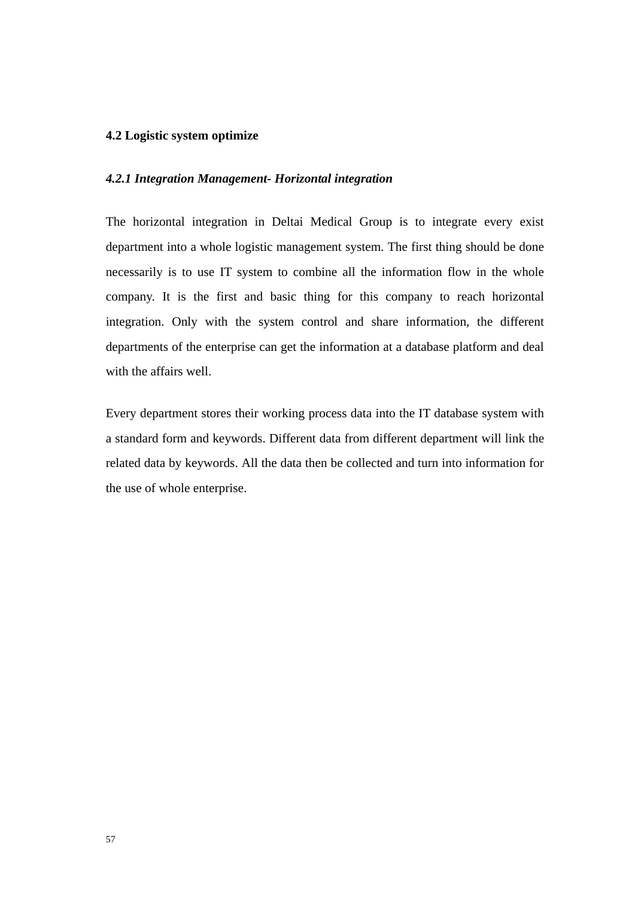# **4.2 Logistic system optimize**

### *4.2.1 Integration Management- Horizontal integration*

The horizontal integration in Deltai Medical Group is to integrate every exist department into a whole logistic management system. The first thing should be done necessarily is to use IT system to combine all the information flow in the whole company. It is the first and basic thing for this company to reach horizontal integration. Only with the system control and share information, the different departments of the enterprise can get the information at a database platform and deal with the affairs well.

Every department stores their working process data into the IT database system with a standard form and keywords. Different data from different department will link the related data by keywords. All the data then be collected and turn into information for the use of whole enterprise.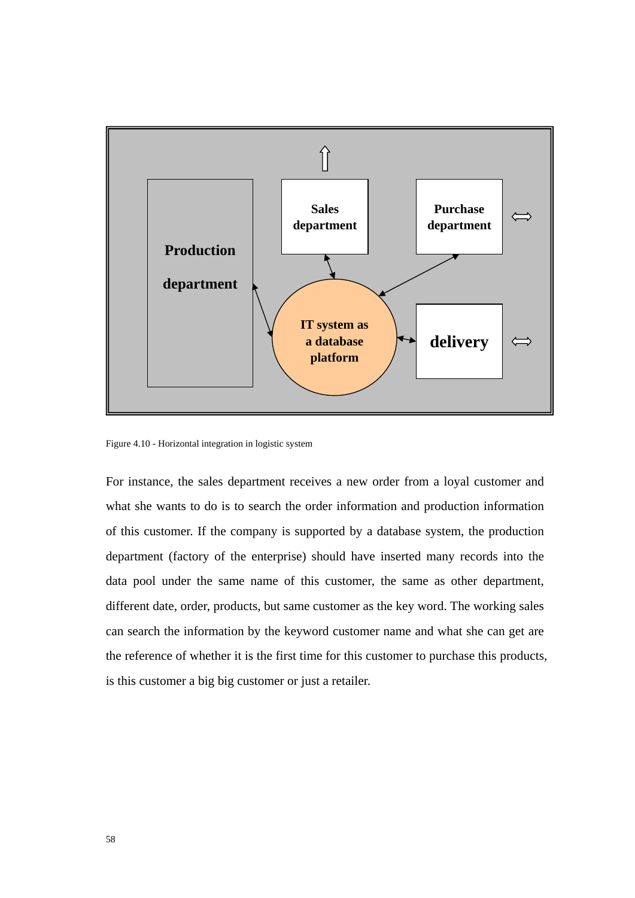

Figure 4.10 - Horizontal integration in logistic system

For instance, the sales department receives a new order from a loyal customer and what she wants to do is to search the order information and production information of this customer. If the company is supported by a database system, the production department (factory of the enterprise) should have inserted many records into the data pool under the same name of this customer, the same as other department, different date, order, products, but same customer as the key word. The working sales can search the information by the keyword customer name and what she can get are the reference of whether it is the first time for this customer to purchase this products, is this customer a big big customer or just a retailer.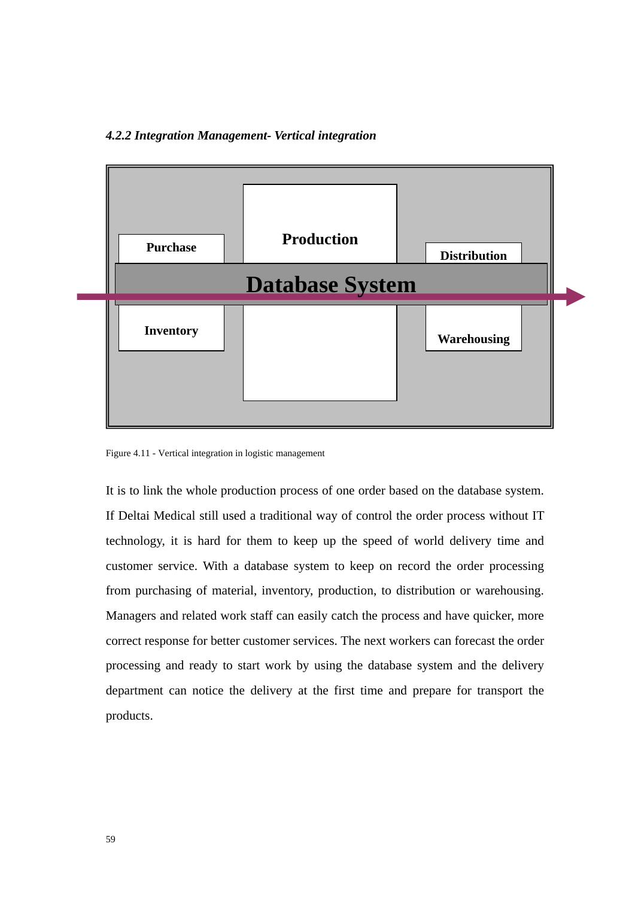# *4.2.2 Integration Management- Vertical integration*



Figure 4.11 - Vertical integration in logistic management

It is to link the whole production process of one order based on the database system. If Deltai Medical still used a traditional way of control the order process without IT technology, it is hard for them to keep up the speed of world delivery time and customer service. With a database system to keep on record the order processing from purchasing of material, inventory, production, to distribution or warehousing. Managers and related work staff can easily catch the process and have quicker, more correct response for better customer services. The next workers can forecast the order processing and ready to start work by using the database system and the delivery department can notice the delivery at the first time and prepare for transport the products.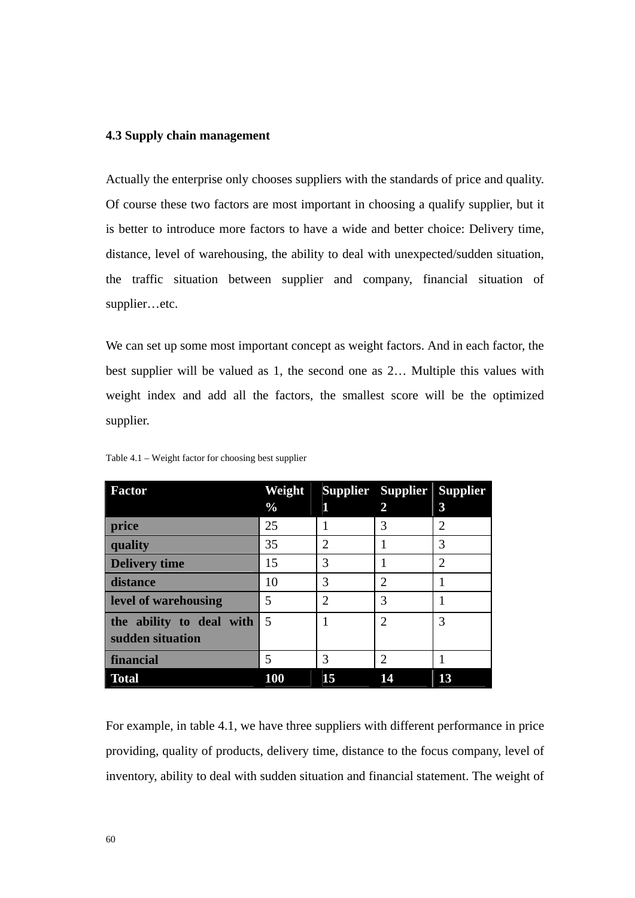# **4.3 Supply chain management**

Actually the enterprise only chooses suppliers with the standards of price and quality. Of course these two factors are most important in choosing a qualify supplier, but it is better to introduce more factors to have a wide and better choice: Delivery time, distance, level of warehousing, the ability to deal with unexpected/sudden situation, the traffic situation between supplier and company, financial situation of supplier…etc.

We can set up some most important concept as weight factors. And in each factor, the best supplier will be valued as 1, the second one as 2… Multiple this values with weight index and add all the factors, the smallest score will be the optimized supplier.

| <b>Factor</b>            | Weight        |                             | Supplier Supplier Supplier |                |
|--------------------------|---------------|-----------------------------|----------------------------|----------------|
|                          | $\frac{0}{0}$ | П                           | $\overline{2}$             | $\overline{3}$ |
| price                    | 25            |                             | 3                          | 2              |
| quality                  | 35            | $\mathcal{D}_{\mathcal{L}}$ |                            | 3              |
| <b>Delivery time</b>     | 15            | 3                           |                            | $\overline{2}$ |
| distance                 | 10            | 3                           | $\overline{2}$             |                |
| level of warehousing     | 5             | $\overline{2}$              | 3                          |                |
| the ability to deal with | 5             |                             | $\overline{2}$             | 3              |
| sudden situation         |               |                             |                            |                |
| financial                | 5             | 3                           | $\overline{2}$             |                |
| <b>Total</b>             | <b>100</b>    | 15                          | 14                         | 13             |

Table 4.1 – Weight factor for choosing best supplier

For example, in table 4.1, we have three suppliers with different performance in price providing, quality of products, delivery time, distance to the focus company, level of inventory, ability to deal with sudden situation and financial statement. The weight of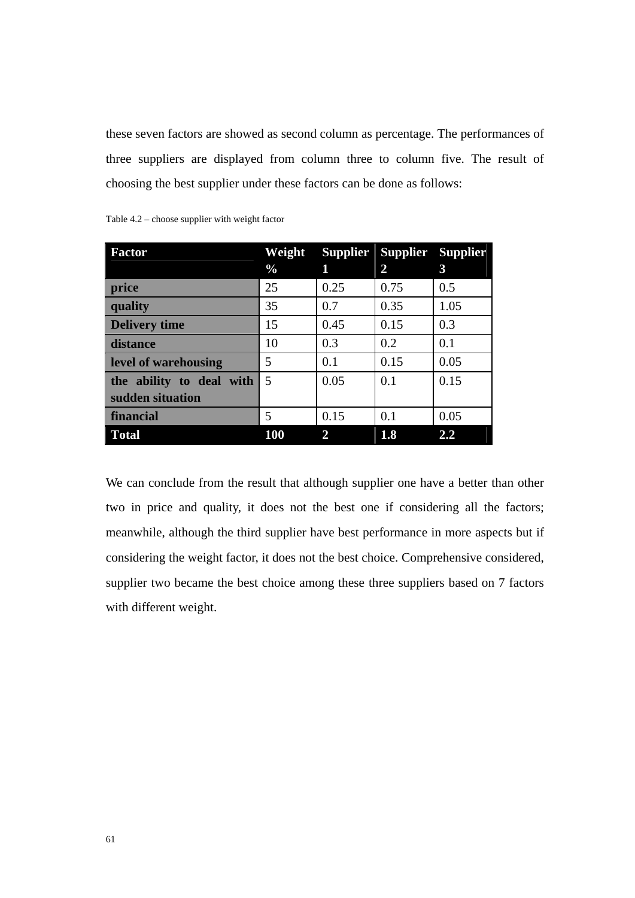these seven factors are showed as second column as percentage. The performances of three suppliers are displayed from column three to column five. The result of choosing the best supplier under these factors can be done as follows:

| <b>Factor</b>            | Weight        |              | Supplier Supplier Supplier |      |
|--------------------------|---------------|--------------|----------------------------|------|
|                          | $\frac{0}{0}$ | 1            | 2                          | 3    |
| price                    | 25            | 0.25         | 0.75                       | 0.5  |
| quality                  | 35            | 0.7          | 0.35                       | 1.05 |
| <b>Delivery time</b>     | 15            | 0.45         | 0.15                       | 0.3  |
| distance                 | 10            | 0.3          | 0.2                        | 0.1  |
| level of warehousing     | 5             | 0.1          | 0.15                       | 0.05 |
| the ability to deal with | 5             | 0.05         | 0.1                        | 0.15 |
| sudden situation         |               |              |                            |      |
| financial                | 5             | 0.15         | 0.1                        | 0.05 |
| <b>Total</b>             | <b>100</b>    | $\mathbf{2}$ | 1.8                        | 2.2  |

Table 4.2 – choose supplier with weight factor

We can conclude from the result that although supplier one have a better than other two in price and quality, it does not the best one if considering all the factors; meanwhile, although the third supplier have best performance in more aspects but if considering the weight factor, it does not the best choice. Comprehensive considered, supplier two became the best choice among these three suppliers based on 7 factors with different weight.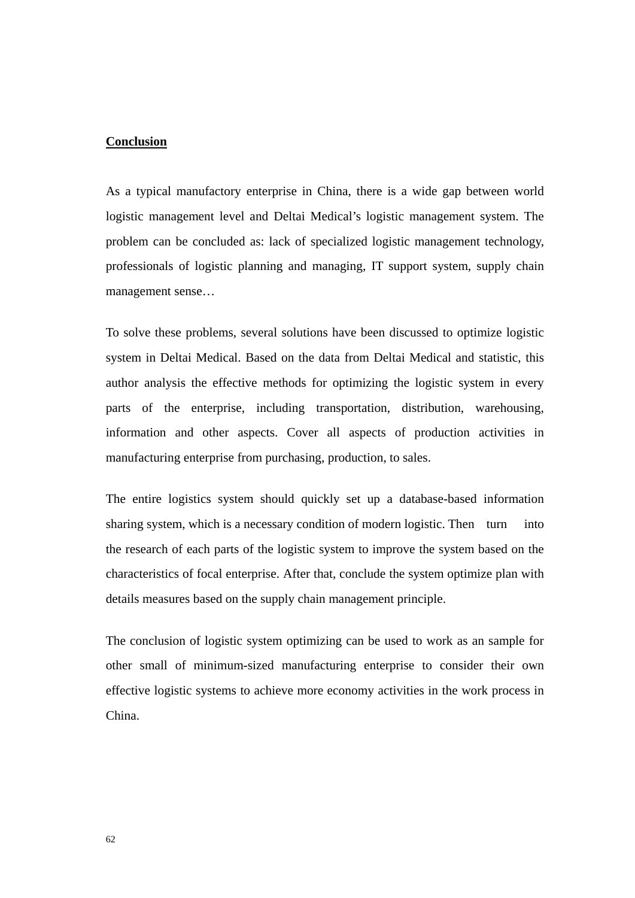## **Conclusion**

As a typical manufactory enterprise in China, there is a wide gap between world logistic management level and Deltai Medical's logistic management system. The problem can be concluded as: lack of specialized logistic management technology, professionals of logistic planning and managing, IT support system, supply chain management sense…

To solve these problems, several solutions have been discussed to optimize logistic system in Deltai Medical. Based on the data from Deltai Medical and statistic, this author analysis the effective methods for optimizing the logistic system in every parts of the enterprise, including transportation, distribution, warehousing, information and other aspects. Cover all aspects of production activities in manufacturing enterprise from purchasing, production, to sales.

The entire logistics system should quickly set up a database-based information sharing system, which is a necessary condition of modern logistic. Then turn into the research of each parts of the logistic system to improve the system based on the characteristics of focal enterprise. After that, conclude the system optimize plan with details measures based on the supply chain management principle.

The conclusion of logistic system optimizing can be used to work as an sample for other small of minimum-sized manufacturing enterprise to consider their own effective logistic systems to achieve more economy activities in the work process in China.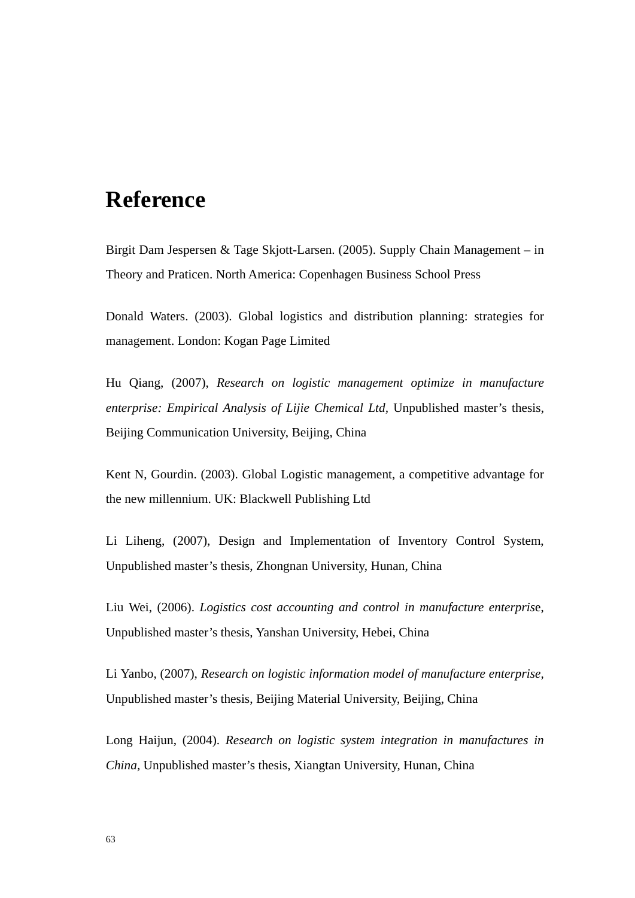## **Reference**

Birgit Dam Jespersen & Tage Skjott-Larsen. (2005). Supply Chain Management – in Theory and Praticen. North America: Copenhagen Business School Press

Donald Waters. (2003). Global logistics and distribution planning: strategies for management. London: Kogan Page Limited

Hu Qiang, (2007), *Research on logistic management optimize in manufacture enterprise: Empirical Analysis of Lijie Chemical Ltd,* Unpublished master's thesis, Beijing Communication University, Beijing, China

Kent N, Gourdin. (2003). Global Logistic management, a competitive advantage for the new millennium. UK: Blackwell Publishing Ltd

Li Liheng, (2007), Design and Implementation of Inventory Control System, Unpublished master's thesis, Zhongnan University, Hunan, China

Liu Wei, (2006). *Logistics cost accounting and control in manufacture enterpris*e, Unpublished master's thesis, Yanshan University, Hebei, China

Li Yanbo, (2007), *Research on logistic information model of manufacture enterprise,* Unpublished master's thesis, Beijing Material University, Beijing, China

Long Haijun, (2004). *Research on logistic system integration in manufactures in China,* Unpublished master's thesis, Xiangtan University, Hunan, China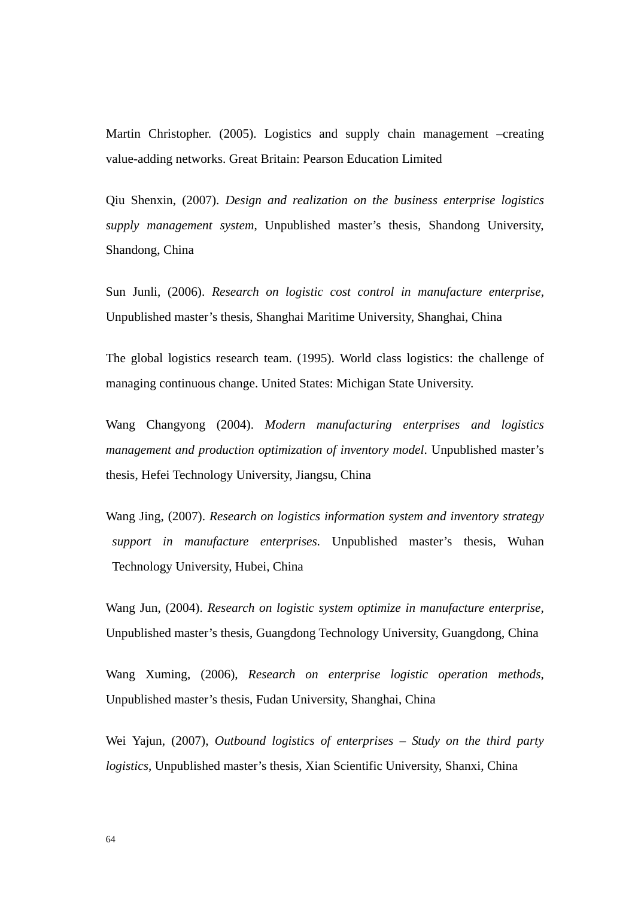Martin Christopher. (2005). Logistics and supply chain management –creating value-adding networks. Great Britain: Pearson Education Limited

Qiu Shenxin, (2007). *Design and realization on the business enterprise logistics supply management system*, Unpublished master's thesis, Shandong University, Shandong, China

Sun Junli, (2006). *Research on logistic cost control in manufacture enterprise,* Unpublished master's thesis, Shanghai Maritime University, Shanghai, China

The global logistics research team. (1995). World class logistics: the challenge of managing continuous change. United States: Michigan State University.

Wang Changyong (2004). *Modern manufacturing enterprises and logistics management and production optimization of inventory model*. Unpublished master's thesis, Hefei Technology University, Jiangsu, China

Wang Jing, (2007). *Research on logistics information system and inventory strategy support in manufacture enterprises.* Unpublished master's thesis, Wuhan Technology University, Hubei, China

Wang Jun, (2004). *Research on logistic system optimize in manufacture enterprise,*  Unpublished master's thesis, Guangdong Technology University, Guangdong, China

Wang Xuming, (2006), *Research on enterprise logistic operation methods*, Unpublished master's thesis, Fudan University, Shanghai, China

Wei Yajun, (2007), *Outbound logistics of enterprises – Study on the third party logistics*, Unpublished master's thesis, Xian Scientific University, Shanxi, China